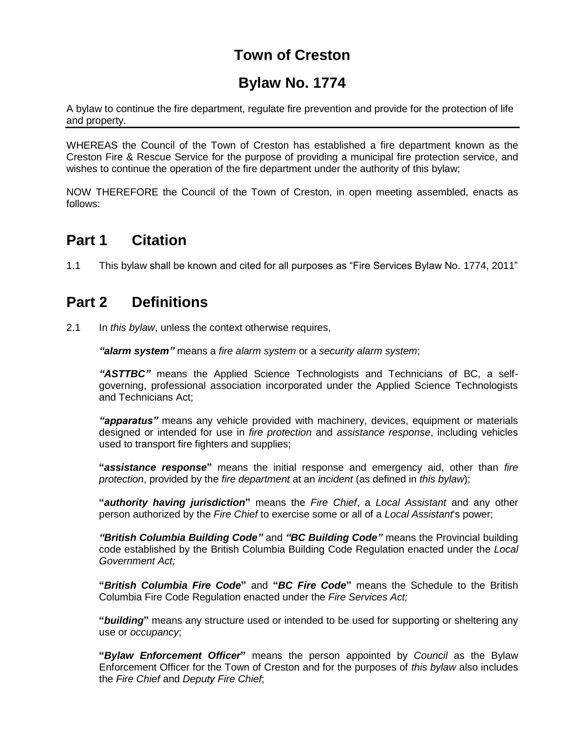# **Town of Creston**

# **Bylaw No. 1774**

A bylaw to continue the fire department, regulate fire prevention and provide for the protection of life and property.

WHEREAS the Council of the Town of Creston has established a fire department known as the Creston Fire & Rescue Service for the purpose of providing a municipal fire protection service, and wishes to continue the operation of the fire department under the authority of this bylaw;

NOW THEREFORE the Council of the Town of Creston, in open meeting assembled, enacts as follows:

## **Part 1 Citation**

1.1 This bylaw shall be known and cited for all purposes as "Fire Services Bylaw No. 1774, 2011"

# **Part 2 Definitions**

2.1 In *this bylaw*, unless the context otherwise requires,

*"alarm system"* means a *fire alarm system* or a *security alarm system*;

*"ASTTBC"* means the Applied Science Technologists and Technicians of BC, a selfgoverning, professional association incorporated under the Applied Science Technologists and Technicians Act;

*"apparatus"* means any vehicle provided with machinery, devices, equipment or materials designed or intended for use in *fire protection* and *assistance response*, including vehicles used to transport fire fighters and supplies;

**"***assistance response***"** means the initial response and emergency aid, other than *fire protection*, provided by the *fire department* at an *incident* (as defined in *this bylaw*);

**"***authority having jurisdiction***"** means the *Fire Chief*, a *Local Assistant* and any other person authorized by the *Fire Chief* to exercise some or all of a *Local Assistant*'s power;

*"British Columbia Building Code"* and *"BC Building Code"* means the Provincial building code established by the British Columbia Building Code Regulation enacted under the *Local Government Act;* 

**"***British Columbia Fire Code***"** and **"***BC Fire Code***"** means the Schedule to the British Columbia Fire Code Regulation enacted under the *Fire Services Act;*

**"***building***"** means any structure used or intended to be used for supporting or sheltering any use or *occupancy*;

**"***Bylaw Enforcement Officer***"** means the person appointed by *Council* as the Bylaw Enforcement Officer for the Town of Creston and for the purposes of *this bylaw* also includes the *Fire Chief* and *Deputy Fire Chief*;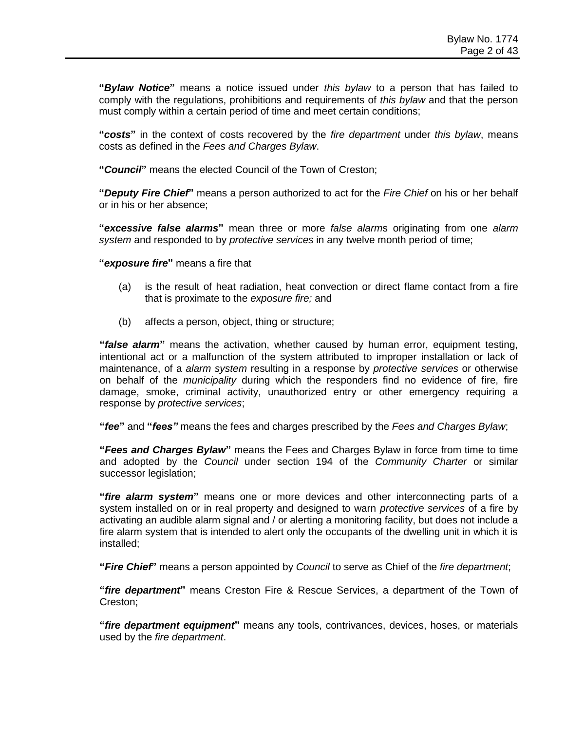**"***Bylaw Notice***"** means a notice issued under *this bylaw* to a person that has failed to comply with the regulations, prohibitions and requirements of *this bylaw* and that the person must comply within a certain period of time and meet certain conditions;

**"***costs***"** in the context of costs recovered by the *fire department* under *this bylaw*, means costs as defined in the *Fees and Charges Bylaw*.

**"***Council***"** means the elected Council of the Town of Creston;

**"***Deputy Fire Chief***"** means a person authorized to act for the *Fire Chief* on his or her behalf or in his or her absence;

**"***excessive false alarms***"** mean three or more *false alarm*s originating from one *alarm system* and responded to by *protective services* in any twelve month period of time;

**"***exposure fire***"** means a fire that

- (a) is the result of heat radiation, heat convection or direct flame contact from a fire that is proximate to the *exposure fire;* and
- (b) affects a person, object, thing or structure;

**"***false alarm***"** means the activation, whether caused by human error, equipment testing, intentional act or a malfunction of the system attributed to improper installation or lack of maintenance, of a *alarm system* resulting in a response by *protective services* or otherwise on behalf of the *municipality* during which the responders find no evidence of fire, fire damage, smoke, criminal activity, unauthorized entry or other emergency requiring a response by *protective services*;

**"***fee***"** and **"***fees"* means the fees and charges prescribed by the *Fees and Charges Bylaw*;

**"***Fees and Charges Bylaw***"** means the Fees and Charges Bylaw in force from time to time and adopted by the *Council* under section 194 of the *Community Charter* or similar successor legislation;

**"***fire alarm system***"** means one or more devices and other interconnecting parts of a system installed on or in real property and designed to warn *protective services* of a fire by activating an audible alarm signal and / or alerting a monitoring facility, but does not include a fire alarm system that is intended to alert only the occupants of the dwelling unit in which it is installed;

**"***Fire Chief***"** means a person appointed by *Council* to serve as Chief of the *fire department*;

**"***fire department***"** means Creston Fire & Rescue Services, a department of the Town of Creston;

**"***fire department equipment***"** means any tools, contrivances, devices, hoses, or materials used by the *fire department*.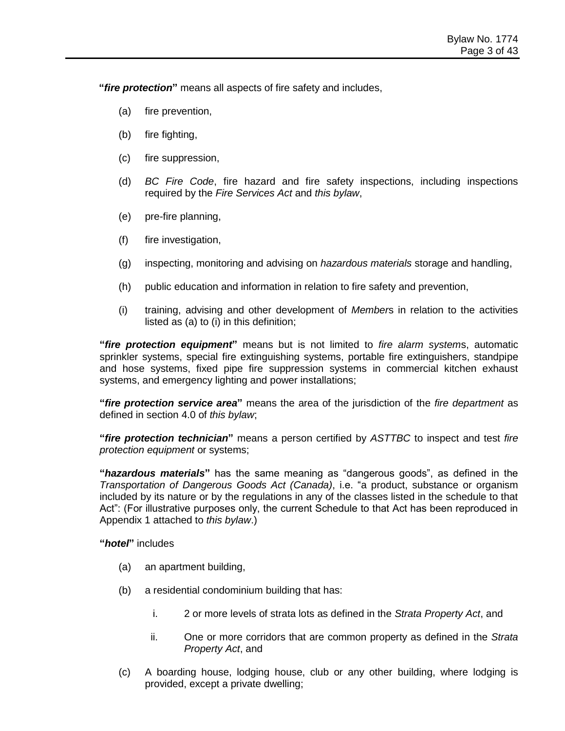**"***fire protection***"** means all aspects of fire safety and includes,

- (a) fire prevention,
- (b) fire fighting,
- (c) fire suppression,
- (d) *BC Fire Code*, fire hazard and fire safety inspections, including inspections required by the *Fire Services Act* and *this bylaw*,
- (e) pre-fire planning,
- (f) fire investigation,
- (g) inspecting, monitoring and advising on *hazardous materials* storage and handling,
- (h) public education and information in relation to fire safety and prevention,
- (i) training, advising and other development of *Member*s in relation to the activities listed as (a) to (i) in this definition;

**"***fire protection equipment***"** means but is not limited to *fire alarm system*s, automatic sprinkler systems, special fire extinguishing systems, portable fire extinguishers, standpipe and hose systems, fixed pipe fire suppression systems in commercial kitchen exhaust systems, and emergency lighting and power installations;

**"***fire protection service area***"** means the area of the jurisdiction of the *fire department* as defined in section 4.0 of *this bylaw*;

**"***fire protection technician***"** means a person certified by *ASTTBC* to inspect and test *fire protection equipment* or systems;

**"***hazardous materials***"** has the same meaning as "dangerous goods", as defined in the *Transportation of Dangerous Goods Act (Canada)*, i.e. "a product, substance or organism included by its nature or by the regulations in any of the classes listed in the schedule to that Act": (For illustrative purposes only, the current Schedule to that Act has been reproduced in Appendix 1 attached to *this bylaw*.)

**"***hotel***"** includes

- (a) an apartment building,
- (b) a residential condominium building that has:
	- i. 2 or more levels of strata lots as defined in the *Strata Property Act*, and
	- ii. One or more corridors that are common property as defined in the *Strata Property Act*, and
- (c) A boarding house, lodging house, club or any other building, where lodging is provided, except a private dwelling;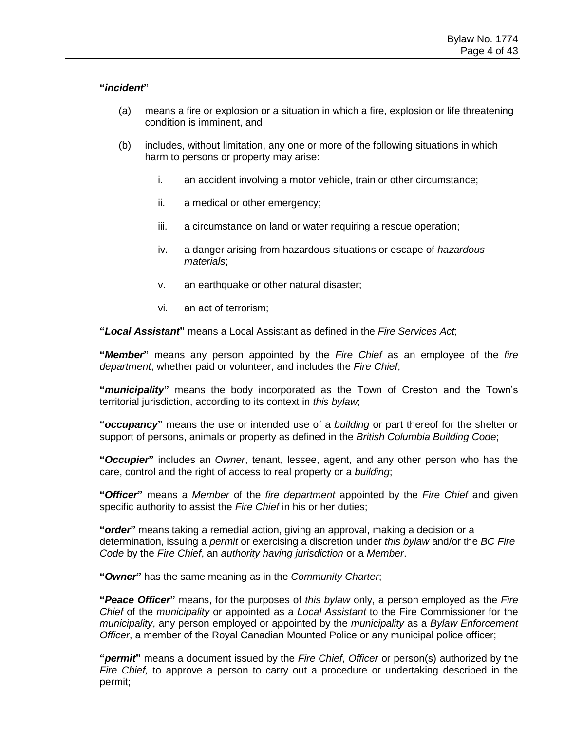#### **"***incident***"**

- (a) means a fire or explosion or a situation in which a fire, explosion or life threatening condition is imminent, and
- (b) includes, without limitation, any one or more of the following situations in which harm to persons or property may arise:
	- i. an accident involving a motor vehicle, train or other circumstance;
	- ii. a medical or other emergency;
	- iii. a circumstance on land or water requiring a rescue operation;
	- iv. a danger arising from hazardous situations or escape of *hazardous materials*;
	- v. an earthquake or other natural disaster;
	- vi. an act of terrorism;

**"***Local Assistant***"** means a Local Assistant as defined in the *Fire Services Act*;

**"***Member***"** means any person appointed by the *Fire Chief* as an employee of the *fire department*, whether paid or volunteer, and includes the *Fire Chief*;

**"***municipality***"** means the body incorporated as the Town of Creston and the Town's territorial jurisdiction, according to its context in *this bylaw*;

**"***occupancy***"** means the use or intended use of a *building* or part thereof for the shelter or support of persons, animals or property as defined in the *British Columbia Building Code*;

**"***Occupier***"** includes an *Owner*, tenant, lessee, agent, and any other person who has the care, control and the right of access to real property or a *building*;

**"***Officer***"** means a *Member* of the *fire department* appointed by the *Fire Chief* and given specific authority to assist the *Fire Chief* in his or her duties;

**"***order***"** means taking a remedial action, giving an approval, making a decision or a determination, issuing a *permit* or exercising a discretion under *this bylaw* and/or the *BC Fire Code* by the *Fire Chief*, an *authority having jurisdiction* or a *Member*.

**"***Owner***"** has the same meaning as in the *Community Charter*;

**"***Peace Officer***"** means, for the purposes of *this bylaw* only, a person employed as the *Fire Chief* of the *municipality* or appointed as a *Local Assistant* to the Fire Commissioner for the *municipality*, any person employed or appointed by the *municipality* as a *Bylaw Enforcement Officer*, a member of the Royal Canadian Mounted Police or any municipal police officer;

**"***permit***"** means a document issued by the *Fire Chief*, *Officer* or person(s) authorized by the *Fire Chief,* to approve a person to carry out a procedure or undertaking described in the permit;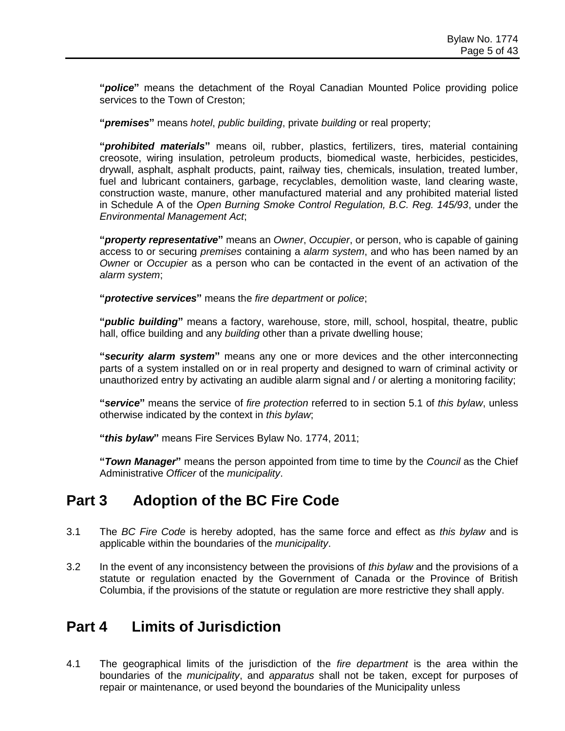**"***police***"** means the detachment of the Royal Canadian Mounted Police providing police services to the Town of Creston;

**"***premises***"** means *hotel*, *public building*, private *building* or real property;

**"***prohibited materials***"** means oil, rubber, plastics, fertilizers, tires, material containing creosote, wiring insulation, petroleum products, biomedical waste, herbicides, pesticides, drywall, asphalt, asphalt products, paint, railway ties, chemicals, insulation, treated lumber, fuel and lubricant containers, garbage, recyclables, demolition waste, land clearing waste, construction waste, manure, other manufactured material and any prohibited material listed in Schedule A of the *Open Burning Smoke Control Regulation, B.C. Reg. 145/93*, under the *Environmental Management Act*;

**"***property representative***"** means an *Owner*, *Occupier*, or person, who is capable of gaining access to or securing *premises* containing a *alarm system*, and who has been named by an *Owner* or *Occupier* as a person who can be contacted in the event of an activation of the *alarm system*;

**"***protective services***"** means the *fire department* or *police*;

**"***public building***"** means a factory, warehouse, store, mill, school, hospital, theatre, public hall, office building and any *building* other than a private dwelling house;

**"***security alarm system***"** means any one or more devices and the other interconnecting parts of a system installed on or in real property and designed to warn of criminal activity or unauthorized entry by activating an audible alarm signal and / or alerting a monitoring facility;

**"***service***"** means the service of *fire protection* referred to in section 5.1 of *this bylaw*, unless otherwise indicated by the context in *this bylaw*;

**"***this bylaw***"** means Fire Services Bylaw No. 1774, 2011;

**"***Town Manager***"** means the person appointed from time to time by the *Council* as the Chief Administrative *Officer* of the *municipality*.

### **Part 3 Adoption of the BC Fire Code**

- 3.1 The *BC Fire Code* is hereby adopted, has the same force and effect as *this bylaw* and is applicable within the boundaries of the *municipality*.
- 3.2 In the event of any inconsistency between the provisions of *this bylaw* and the provisions of a statute or regulation enacted by the Government of Canada or the Province of British Columbia, if the provisions of the statute or regulation are more restrictive they shall apply.

## **Part 4 Limits of Jurisdiction**

4.1 The geographical limits of the jurisdiction of the *fire department* is the area within the boundaries of the *municipality*, and *apparatus* shall not be taken, except for purposes of repair or maintenance, or used beyond the boundaries of the Municipality unless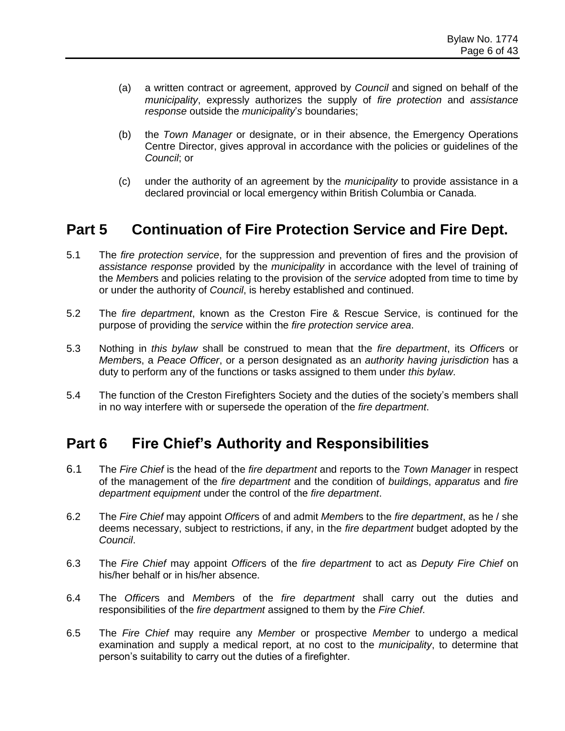- (a) a written contract or agreement, approved by *Council* and signed on behalf of the *municipality*, expressly authorizes the supply of *fire protection* and *assistance response* outside the *municipality*'*s* boundaries;
- (b) the *Town Manager* or designate, or in their absence, the Emergency Operations Centre Director, gives approval in accordance with the policies or guidelines of the *Council*; or
- (c) under the authority of an agreement by the *municipality* to provide assistance in a declared provincial or local emergency within British Columbia or Canada.

## **Part 5 Continuation of Fire Protection Service and Fire Dept.**

- 5.1 The *fire protection service*, for the suppression and prevention of fires and the provision of *assistance response* provided by the *municipality* in accordance with the level of training of the *Member*s and policies relating to the provision of the *service* adopted from time to time by or under the authority of *Council*, is hereby established and continued.
- 5.2 The *fire department*, known as the Creston Fire & Rescue Service, is continued for the purpose of providing the *service* within the *fire protection service area*.
- 5.3 Nothing in *this bylaw* shall be construed to mean that the *fire department*, its *Officer*s or *Member*s, a *Peace Officer*, or a person designated as an *authority having jurisdiction* has a duty to perform any of the functions or tasks assigned to them under *this bylaw*.
- 5.4 The function of the Creston Firefighters Society and the duties of the society's members shall in no way interfere with or supersede the operation of the *fire department*.

### **Part 6 Fire Chief's Authority and Responsibilities**

- 6.1 The *Fire Chief* is the head of the *fire department* and reports to the *Town Manager* in respect of the management of the *fire department* and the condition of *building*s, *apparatus* and *fire department equipment* under the control of the *fire department*.
- 6.2 The *Fire Chief* may appoint *Officer*s of and admit *Member*s to the *fire department*, as he / she deems necessary, subject to restrictions, if any, in the *fire department* budget adopted by the *Council*.
- 6.3 The *Fire Chief* may appoint *Officer*s of the *fire department* to act as *Deputy Fire Chief* on his/her behalf or in his/her absence.
- 6.4 The *Officer*s and *Member*s of the *fire department* shall carry out the duties and responsibilities of the *fire department* assigned to them by the *Fire Chief*.
- 6.5 The *Fire Chief* may require any *Member* or prospective *Member* to undergo a medical examination and supply a medical report, at no cost to the *municipality*, to determine that person's suitability to carry out the duties of a firefighter.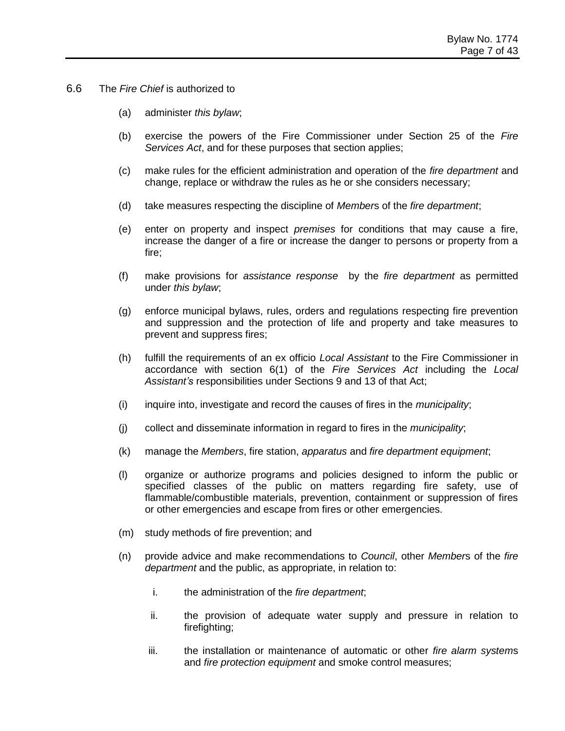- 6.6 The *Fire Chief* is authorized to
	- (a) administer *this bylaw*;
	- (b) exercise the powers of the Fire Commissioner under Section 25 of the *Fire Services Act*, and for these purposes that section applies;
	- (c) make rules for the efficient administration and operation of the *fire department* and change, replace or withdraw the rules as he or she considers necessary;
	- (d) take measures respecting the discipline of *Member*s of the *fire department*;
	- (e) enter on property and inspect *premises* for conditions that may cause a fire, increase the danger of a fire or increase the danger to persons or property from a fire;
	- (f) make provisions for *assistance response* by the *fire department* as permitted under *this bylaw*;
	- (g) enforce municipal bylaws, rules, orders and regulations respecting fire prevention and suppression and the protection of life and property and take measures to prevent and suppress fires;
	- (h) fulfill the requirements of an ex officio *Local Assistant* to the Fire Commissioner in accordance with section 6(1) of the *Fire Services Act* including the *Local Assistant's* responsibilities under Sections 9 and 13 of that Act;
	- (i) inquire into, investigate and record the causes of fires in the *municipality*;
	- (j) collect and disseminate information in regard to fires in the *municipality*;
	- (k) manage the *Members*, fire station, *apparatus* and *fire department equipment*;
	- (l) organize or authorize programs and policies designed to inform the public or specified classes of the public on matters regarding fire safety, use of flammable/combustible materials, prevention, containment or suppression of fires or other emergencies and escape from fires or other emergencies.
	- (m) study methods of fire prevention; and
	- (n) provide advice and make recommendations to *Council*, other *Member*s of the *fire department* and the public, as appropriate, in relation to:
		- i. the administration of the *fire department*;
		- ii. the provision of adequate water supply and pressure in relation to firefighting;
		- iii. the installation or maintenance of automatic or other *fire alarm system*s and *fire protection equipment* and smoke control measures;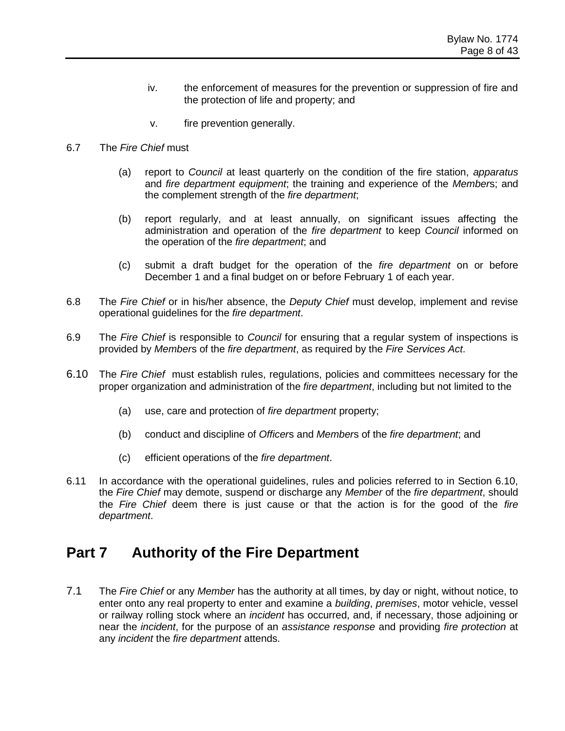- iv. the enforcement of measures for the prevention or suppression of fire and the protection of life and property; and
- v. fire prevention generally.
- 6.7 The *Fire Chief* must
	- (a) report to *Council* at least quarterly on the condition of the fire station, *apparatus* and *fire department equipment*; the training and experience of the *Member*s; and the complement strength of the *fire department*;
	- (b) report regularly, and at least annually, on significant issues affecting the administration and operation of the *fire department* to keep *Council* informed on the operation of the *fire department*; and
	- (c) submit a draft budget for the operation of the *fire department* on or before December 1 and a final budget on or before February 1 of each year.
- 6.8 The *Fire Chief* or in his/her absence, the *Deputy Chief* must develop, implement and revise operational guidelines for the *fire department*.
- 6.9 The *Fire Chief* is responsible to *Council* for ensuring that a regular system of inspections is provided by *Member*s of the *fire department*, as required by the *Fire Services Act*.
- 6.10 The *Fire Chief* must establish rules, regulations, policies and committees necessary for the proper organization and administration of the *fire department*, including but not limited to the
	- (a) use, care and protection of *fire department* property;
	- (b) conduct and discipline of *Officer*s and *Member*s of the *fire department*; and
	- (c) efficient operations of the *fire department*.
- 6.11 In accordance with the operational guidelines, rules and policies referred to in Section 6.10, the *Fire Chief* may demote, suspend or discharge any *Member* of the *fire department*, should the *Fire Chief* deem there is just cause or that the action is for the good of the *fire department*.

### **Part 7 Authority of the Fire Department**

7.1 The *Fire Chief* or any *Member* has the authority at all times, by day or night, without notice, to enter onto any real property to enter and examine a *building*, *premises*, motor vehicle, vessel or railway rolling stock where an *incident* has occurred, and, if necessary, those adjoining or near the *incident*, for the purpose of an *assistance response* and providing *fire protection* at any *incident* the *fire department* attends.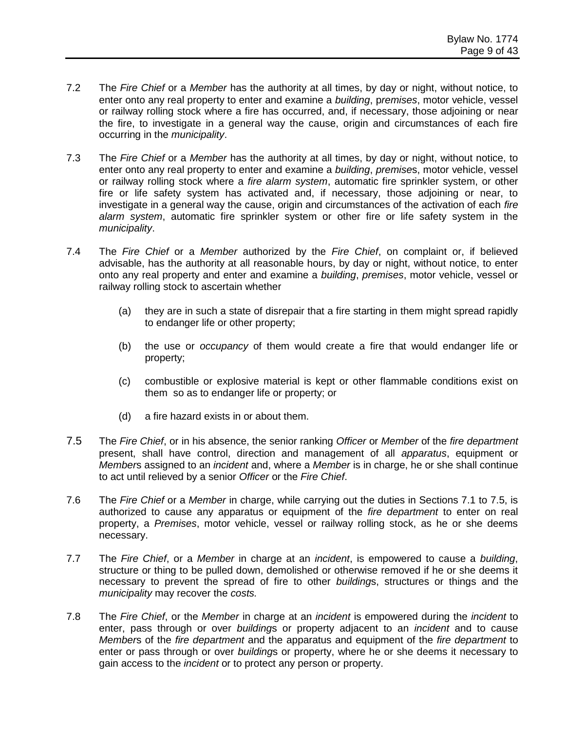- 7.2 The *Fire Chief* or a *Member* has the authority at all times, by day or night, without notice, to enter onto any real property to enter and examine a *building*, p*remises*, motor vehicle, vessel or railway rolling stock where a fire has occurred, and, if necessary, those adjoining or near the fire, to investigate in a general way the cause, origin and circumstances of each fire occurring in the *municipality*.
- 7.3 The *Fire Chief* or a *Member* has the authority at all times, by day or night, without notice, to enter onto any real property to enter and examine a *building*, *premise*s, motor vehicle, vessel or railway rolling stock where a *fire alarm system*, automatic fire sprinkler system, or other fire or life safety system has activated and, if necessary, those adjoining or near, to investigate in a general way the cause, origin and circumstances of the activation of each *fire alarm system*, automatic fire sprinkler system or other fire or life safety system in the *municipality*.
- 7.4 The *Fire Chief* or a *Member* authorized by the *Fire Chief*, on complaint or, if believed advisable, has the authority at all reasonable hours, by day or night, without notice, to enter onto any real property and enter and examine a *building*, *premises*, motor vehicle, vessel or railway rolling stock to ascertain whether
	- (a) they are in such a state of disrepair that a fire starting in them might spread rapidly to endanger life or other property;
	- (b) the use or *occupancy* of them would create a fire that would endanger life or property;
	- (c) combustible or explosive material is kept or other flammable conditions exist on them so as to endanger life or property; or
	- (d) a fire hazard exists in or about them.
- 7.5 The *Fire Chief*, or in his absence, the senior ranking *Officer* or *Member* of the *fire department* present, shall have control, direction and management of all *apparatus*, equipment or *Member*s assigned to an *incident* and, where a *Member* is in charge, he or she shall continue to act until relieved by a senior *Officer* or the *Fire Chief*.
- 7.6 The *Fire Chief* or a *Member* in charge, while carrying out the duties in Sections 7.1 to 7.5, is authorized to cause any apparatus or equipment of the *fire department* to enter on real property, a *Premises*, motor vehicle, vessel or railway rolling stock, as he or she deems necessary.
- 7.7 The *Fire Chief*, or a *Member* in charge at an *incident*, is empowered to cause a *building*, structure or thing to be pulled down, demolished or otherwise removed if he or she deems it necessary to prevent the spread of fire to other *building*s, structures or things and the *municipality* may recover the *costs.*
- 7.8 The *Fire Chief*, or the *Member* in charge at an *incident* is empowered during the *incident* to enter, pass through or over *building*s or property adjacent to an *incident* and to cause *Member*s of the *fire department* and the apparatus and equipment of the *fire department* to enter or pass through or over *building*s or property, where he or she deems it necessary to gain access to the *incident* or to protect any person or property.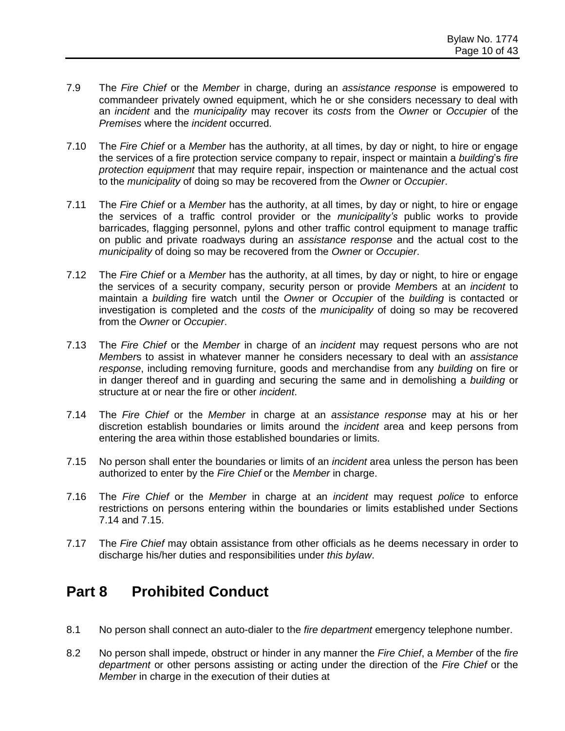- 7.9 The *Fire Chief* or the *Member* in charge, during an *assistance response* is empowered to commandeer privately owned equipment, which he or she considers necessary to deal with an *incident* and the *municipality* may recover its *costs* from the *Owner* or *Occupier* of the *Premises* where the *incident* occurred.
- 7.10 The *Fire Chief* or a *Member* has the authority, at all times, by day or night, to hire or engage the services of a fire protection service company to repair, inspect or maintain a *building*'s *fire protection equipment* that may require repair, inspection or maintenance and the actual cost to the *municipality* of doing so may be recovered from the *Owner* or *Occupier*.
- 7.11 The *Fire Chief* or a *Member* has the authority, at all times, by day or night, to hire or engage the services of a traffic control provider or the *municipality's* public works to provide barricades, flagging personnel, pylons and other traffic control equipment to manage traffic on public and private roadways during an *assistance response* and the actual cost to the *municipality* of doing so may be recovered from the *Owner* or *Occupier*.
- 7.12 The *Fire Chief* or a *Member* has the authority, at all times, by day or night, to hire or engage the services of a security company, security person or provide *Member*s at an *incident* to maintain a *building* fire watch until the *Owner* or *Occupier* of the *building* is contacted or investigation is completed and the *costs* of the *municipality* of doing so may be recovered from the *Owner* or *Occupier*.
- 7.13 The *Fire Chief* or the *Member* in charge of an *incident* may request persons who are not *Member*s to assist in whatever manner he considers necessary to deal with an *assistance response*, including removing furniture, goods and merchandise from any *building* on fire or in danger thereof and in guarding and securing the same and in demolishing a *building* or structure at or near the fire or other *incident*.
- 7.14 The *Fire Chief* or the *Member* in charge at an *assistance response* may at his or her discretion establish boundaries or limits around the *incident* area and keep persons from entering the area within those established boundaries or limits.
- 7.15 No person shall enter the boundaries or limits of an *incident* area unless the person has been authorized to enter by the *Fire Chief* or the *Member* in charge.
- 7.16 The *Fire Chief* or the *Member* in charge at an *incident* may request *police* to enforce restrictions on persons entering within the boundaries or limits established under Sections 7.14 and 7.15.
- 7.17 The *Fire Chief* may obtain assistance from other officials as he deems necessary in order to discharge his/her duties and responsibilities under *this bylaw*.

# **Part 8 Prohibited Conduct**

- 8.1 No person shall connect an auto-dialer to the *fire department* emergency telephone number.
- 8.2 No person shall impede, obstruct or hinder in any manner the *Fire Chief*, a *Member* of the *fire department* or other persons assisting or acting under the direction of the *Fire Chief* or the *Member* in charge in the execution of their duties at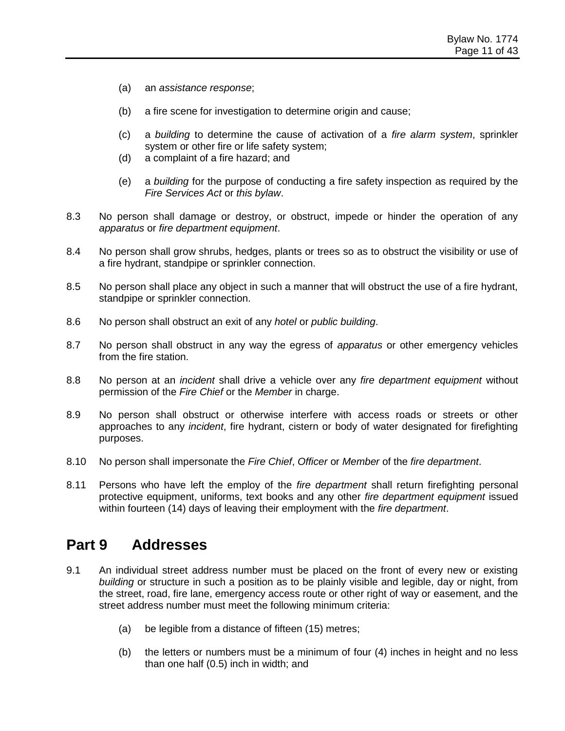- (a) an *assistance response*;
- (b) a fire scene for investigation to determine origin and cause;
- (c) a *building* to determine the cause of activation of a *fire alarm system*, sprinkler system or other fire or life safety system;
- (d) a complaint of a fire hazard; and
- (e) a *building* for the purpose of conducting a fire safety inspection as required by the *Fire Services Act* or *this bylaw*.
- 8.3 No person shall damage or destroy, or obstruct, impede or hinder the operation of any *apparatus* or *fire department equipment*.
- 8.4 No person shall grow shrubs, hedges, plants or trees so as to obstruct the visibility or use of a fire hydrant, standpipe or sprinkler connection.
- 8.5 No person shall place any object in such a manner that will obstruct the use of a fire hydrant, standpipe or sprinkler connection.
- 8.6 No person shall obstruct an exit of any *hotel* or *public building*.
- 8.7 No person shall obstruct in any way the egress of *apparatus* or other emergency vehicles from the fire station.
- 8.8 No person at an *incident* shall drive a vehicle over any *fire department equipment* without permission of the *Fire Chief* or the *Member* in charge.
- 8.9 No person shall obstruct or otherwise interfere with access roads or streets or other approaches to any *incident*, fire hydrant, cistern or body of water designated for firefighting purposes.
- 8.10 No person shall impersonate the *Fire Chief*, *Officer* or *Member* of the *fire department*.
- 8.11 Persons who have left the employ of the *fire department* shall return firefighting personal protective equipment, uniforms, text books and any other *fire department equipment* issued within fourteen (14) days of leaving their employment with the *fire department*.

### **Part 9 Addresses**

- 9.1 An individual street address number must be placed on the front of every new or existing *building* or structure in such a position as to be plainly visible and legible, day or night, from the street, road, fire lane, emergency access route or other right of way or easement, and the street address number must meet the following minimum criteria:
	- (a) be legible from a distance of fifteen (15) metres;
	- (b) the letters or numbers must be a minimum of four (4) inches in height and no less than one half (0.5) inch in width; and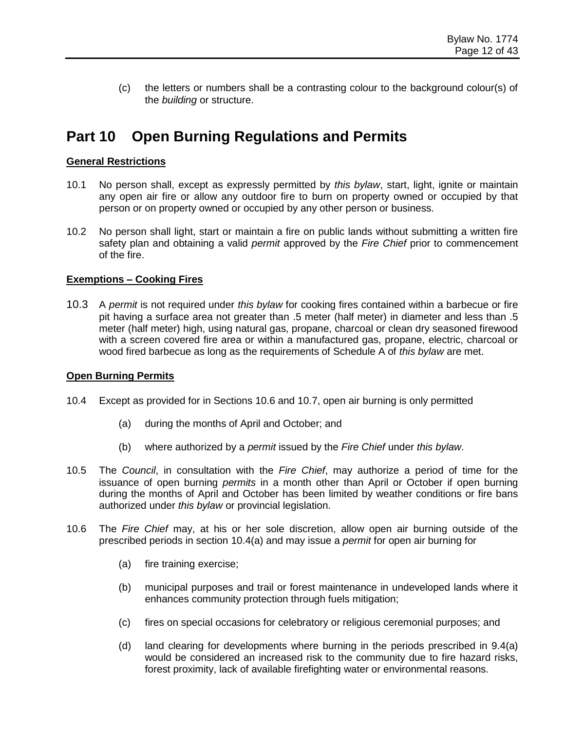(c) the letters or numbers shall be a contrasting colour to the background colour(s) of the *building* or structure.

# **Part 10 Open Burning Regulations and Permits**

#### **General Restrictions**

- 10.1 No person shall, except as expressly permitted by *this bylaw*, start, light, ignite or maintain any open air fire or allow any outdoor fire to burn on property owned or occupied by that person or on property owned or occupied by any other person or business.
- 10.2 No person shall light, start or maintain a fire on public lands without submitting a written fire safety plan and obtaining a valid *permit* approved by the *Fire Chief* prior to commencement of the fire.

#### **Exemptions – Cooking Fires**

10.3 A *permit* is not required under *this bylaw* for cooking fires contained within a barbecue or fire pit having a surface area not greater than .5 meter (half meter) in diameter and less than .5 meter (half meter) high, using natural gas, propane, charcoal or clean dry seasoned firewood with a screen covered fire area or within a manufactured gas, propane, electric, charcoal or wood fired barbecue as long as the requirements of Schedule A of *this bylaw* are met.

#### **Open Burning Permits**

- 10.4 Except as provided for in Sections 10.6 and 10.7, open air burning is only permitted
	- (a) during the months of April and October; and
	- (b) where authorized by a *permit* issued by the *Fire Chief* under *this bylaw*.
- 10.5 The *Council*, in consultation with the *Fire Chief*, may authorize a period of time for the issuance of open burning *permits* in a month other than April or October if open burning during the months of April and October has been limited by weather conditions or fire bans authorized under *this bylaw* or provincial legislation.
- 10.6 The *Fire Chief* may, at his or her sole discretion, allow open air burning outside of the prescribed periods in section 10.4(a) and may issue a *permit* for open air burning for
	- (a) fire training exercise;
	- (b) municipal purposes and trail or forest maintenance in undeveloped lands where it enhances community protection through fuels mitigation;
	- (c) fires on special occasions for celebratory or religious ceremonial purposes; and
	- (d) land clearing for developments where burning in the periods prescribed in 9.4(a) would be considered an increased risk to the community due to fire hazard risks, forest proximity, lack of available firefighting water or environmental reasons.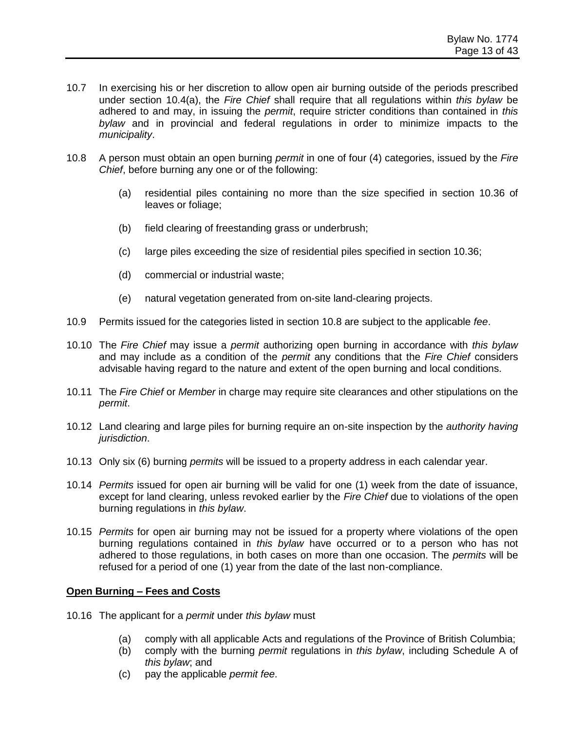- 10.7 In exercising his or her discretion to allow open air burning outside of the periods prescribed under section 10.4(a), the *Fire Chief* shall require that all regulations within *this bylaw* be adhered to and may, in issuing the *permit*, require stricter conditions than contained in *this bylaw* and in provincial and federal regulations in order to minimize impacts to the *municipality*.
- 10.8 A person must obtain an open burning *permit* in one of four (4) categories, issued by the *Fire Chief*, before burning any one or of the following:
	- (a) residential piles containing no more than the size specified in section 10.36 of leaves or foliage;
	- (b) field clearing of freestanding grass or underbrush;
	- (c) large piles exceeding the size of residential piles specified in section 10.36;
	- (d) commercial or industrial waste;
	- (e) natural vegetation generated from on-site land-clearing projects.
- 10.9 Permits issued for the categories listed in section 10.8 are subject to the applicable *fee*.
- 10.10 The *Fire Chief* may issue a *permit* authorizing open burning in accordance with *this bylaw* and may include as a condition of the *permit* any conditions that the *Fire Chief* considers advisable having regard to the nature and extent of the open burning and local conditions.
- 10.11 The *Fire Chief* or *Member* in charge may require site clearances and other stipulations on the *permit*.
- 10.12 Land clearing and large piles for burning require an on-site inspection by the *authority having jurisdiction*.
- 10.13 Only six (6) burning *permits* will be issued to a property address in each calendar year.
- 10.14 *Permits* issued for open air burning will be valid for one (1) week from the date of issuance, except for land clearing, unless revoked earlier by the *Fire Chief* due to violations of the open burning regulations in *this bylaw*.
- 10.15 *Permits* for open air burning may not be issued for a property where violations of the open burning regulations contained in *this bylaw* have occurred or to a person who has not adhered to those regulations, in both cases on more than one occasion. The *permits* will be refused for a period of one (1) year from the date of the last non-compliance.

#### **Open Burning – Fees and Costs**

- 10.16 The applicant for a *permit* under *this bylaw* must
	- (a) comply with all applicable Acts and regulations of the Province of British Columbia;
	- (b) comply with the burning *permit* regulations in *this bylaw*, including Schedule A of *this bylaw*; and
	- (c) pay the applicable *permit fee*.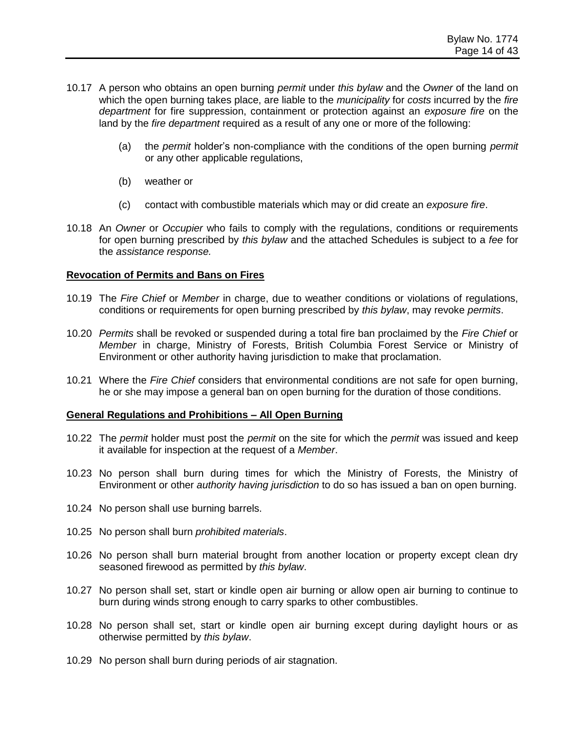- 10.17 A person who obtains an open burning *permit* under *this bylaw* and the *Owner* of the land on which the open burning takes place, are liable to the *municipality* for *costs* incurred by the *fire department* for fire suppression, containment or protection against an *exposure fire* on the land by the *fire department* required as a result of any one or more of the following:
	- (a) the *permit* holder's non-compliance with the conditions of the open burning *permit* or any other applicable regulations,
	- (b) weather or
	- (c) contact with combustible materials which may or did create an *exposure fire*.
- 10.18 An *Owner* or *Occupier* who fails to comply with the regulations, conditions or requirements for open burning prescribed by *this bylaw* and the attached Schedules is subject to a *fee* for the *assistance response.*

#### **Revocation of Permits and Bans on Fires**

- 10.19 The *Fire Chief* or *Member* in charge, due to weather conditions or violations of regulations, conditions or requirements for open burning prescribed by *this bylaw*, may revoke *permits*.
- 10.20 *Permits* shall be revoked or suspended during a total fire ban proclaimed by the *Fire Chief* or *Member* in charge, Ministry of Forests, British Columbia Forest Service or Ministry of Environment or other authority having jurisdiction to make that proclamation.
- 10.21 Where the *Fire Chief* considers that environmental conditions are not safe for open burning, he or she may impose a general ban on open burning for the duration of those conditions.

#### **General Regulations and Prohibitions – All Open Burning**

- 10.22 The *permit* holder must post the *permit* on the site for which the *permit* was issued and keep it available for inspection at the request of a *Member*.
- 10.23 No person shall burn during times for which the Ministry of Forests, the Ministry of Environment or other *authority having jurisdiction* to do so has issued a ban on open burning.
- 10.24 No person shall use burning barrels.
- 10.25 No person shall burn *prohibited materials*.
- 10.26 No person shall burn material brought from another location or property except clean dry seasoned firewood as permitted by *this bylaw*.
- 10.27 No person shall set, start or kindle open air burning or allow open air burning to continue to burn during winds strong enough to carry sparks to other combustibles.
- 10.28 No person shall set, start or kindle open air burning except during daylight hours or as otherwise permitted by *this bylaw*.
- 10.29 No person shall burn during periods of air stagnation.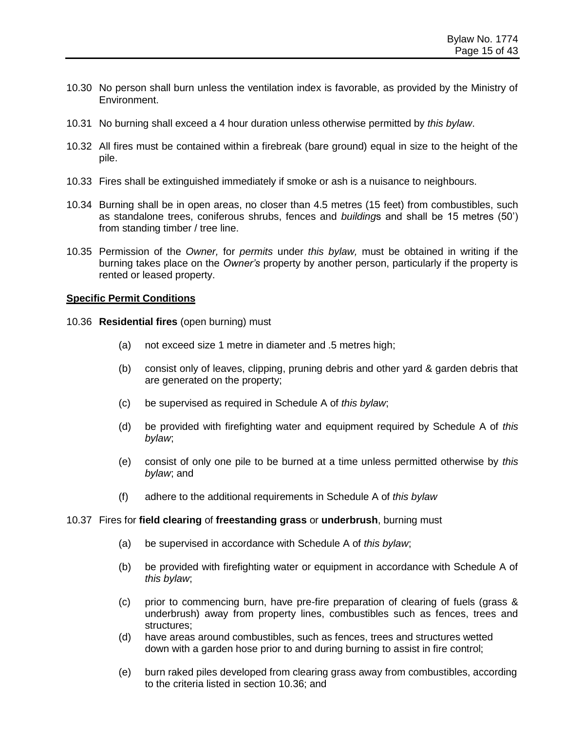- 10.30 No person shall burn unless the ventilation index is favorable, as provided by the Ministry of Environment.
- 10.31 No burning shall exceed a 4 hour duration unless otherwise permitted by *this bylaw*.
- 10.32 All fires must be contained within a firebreak (bare ground) equal in size to the height of the pile.
- 10.33 Fires shall be extinguished immediately if smoke or ash is a nuisance to neighbours.
- 10.34 Burning shall be in open areas, no closer than 4.5 metres (15 feet) from combustibles, such as standalone trees, coniferous shrubs, fences and *building*s and shall be 15 metres (50') from standing timber / tree line.
- 10.35 Permission of the *Owner,* for *permits* under *this bylaw,* must be obtained in writing if the burning takes place on the *Owner's* property by another person, particularly if the property is rented or leased property.

#### **Specific Permit Conditions**

- 10.36 **Residential fires** (open burning) must
	- (a) not exceed size 1 metre in diameter and .5 metres high;
	- (b) consist only of leaves, clipping, pruning debris and other yard & garden debris that are generated on the property;
	- (c) be supervised as required in Schedule A of *this bylaw*;
	- (d) be provided with firefighting water and equipment required by Schedule A of *this bylaw*;
	- (e) consist of only one pile to be burned at a time unless permitted otherwise by *this bylaw*; and
	- (f) adhere to the additional requirements in Schedule A of *this bylaw*

#### 10.37 Fires for **field clearing** of **freestanding grass** or **underbrush**, burning must

- (a) be supervised in accordance with Schedule A of *this bylaw*;
- (b) be provided with firefighting water or equipment in accordance with Schedule A of *this bylaw*;
- (c) prior to commencing burn, have pre-fire preparation of clearing of fuels (grass & underbrush) away from property lines, combustibles such as fences, trees and structures;
- (d) have areas around combustibles, such as fences, trees and structures wetted down with a garden hose prior to and during burning to assist in fire control;
- (e) burn raked piles developed from clearing grass away from combustibles, according to the criteria listed in section 10.36; and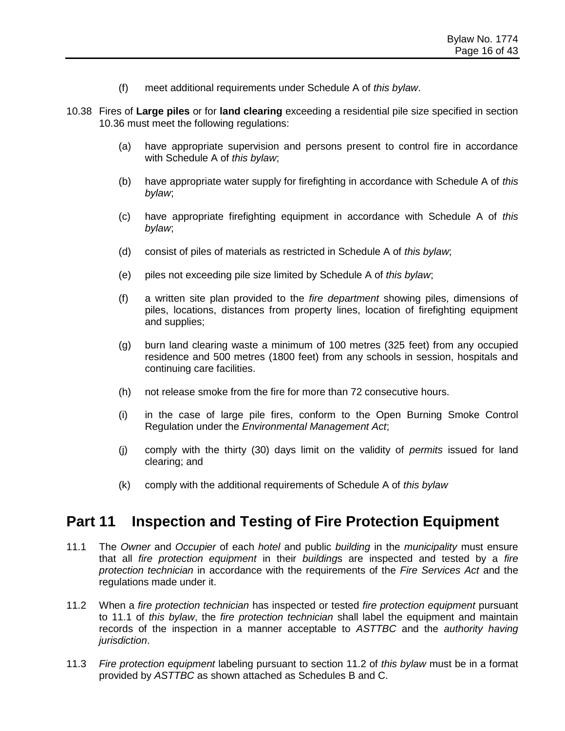- (f) meet additional requirements under Schedule A of *this bylaw*.
- 10.38 Fires of **Large piles** or for **land clearing** exceeding a residential pile size specified in section 10.36 must meet the following regulations:
	- (a) have appropriate supervision and persons present to control fire in accordance with Schedule A of *this bylaw*;
	- (b) have appropriate water supply for firefighting in accordance with Schedule A of *this bylaw*;
	- (c) have appropriate firefighting equipment in accordance with Schedule A of *this bylaw*;
	- (d) consist of piles of materials as restricted in Schedule A of *this bylaw*;
	- (e) piles not exceeding pile size limited by Schedule A of *this bylaw*;
	- (f) a written site plan provided to the *fire department* showing piles, dimensions of piles, locations, distances from property lines, location of firefighting equipment and supplies;
	- (g) burn land clearing waste a minimum of 100 metres (325 feet) from any occupied residence and 500 metres (1800 feet) from any schools in session, hospitals and continuing care facilities.
	- (h) not release smoke from the fire for more than 72 consecutive hours.
	- (i) in the case of large pile fires, conform to the Open Burning Smoke Control Regulation under the *Environmental Management Act*;
	- (j) comply with the thirty (30) days limit on the validity of *permits* issued for land clearing; and
	- (k) comply with the additional requirements of Schedule A of *this bylaw*

### **Part 11 Inspection and Testing of Fire Protection Equipment**

- 11.1 The *Owner* and *Occupier* of each *hotel* and public *building* in the *municipality* must ensure that all *fire protection equipment* in their *building*s are inspected and tested by a *fire protection technician* in accordance with the requirements of the *Fire Services Act* and the regulations made under it.
- 11.2 When a *fire protection technician* has inspected or tested *fire protection equipment* pursuant to 11.1 of *this bylaw*, the *fire protection technician* shall label the equipment and maintain records of the inspection in a manner acceptable to *ASTTBC* and the *authority having jurisdiction*.
- 11.3 *Fire protection equipment* labeling pursuant to section 11.2 of *this bylaw* must be in a format provided by *ASTTBC* as shown attached as Schedules B and C.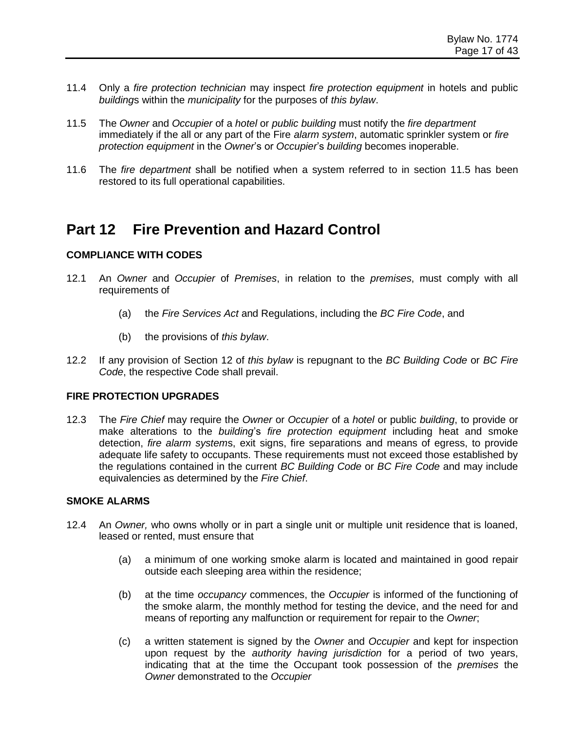- 11.4 Only a *fire protection technician* may inspect *fire protection equipment* in hotels and public *building*s within the *municipality* for the purposes of *this bylaw*.
- 11.5 The *Owner* and *Occupier* of a *hotel* or *public building* must notify the *fire department* immediately if the all or any part of the Fire *alarm system*, automatic sprinkler system or *fire protection equipment* in the *Owner*'s or *Occupier*'s *building* becomes inoperable.
- 11.6 The *fire department* shall be notified when a system referred to in section 11.5 has been restored to its full operational capabilities.

## **Part 12 Fire Prevention and Hazard Control**

#### **COMPLIANCE WITH CODES**

- 12.1 An *Owner* and *Occupier* of *Premises*, in relation to the *premises*, must comply with all requirements of
	- (a) the *Fire Services Act* and Regulations, including the *BC Fire Code*, and
	- (b) the provisions of *this bylaw*.
- 12.2 If any provision of Section 12 of *this bylaw* is repugnant to the *BC Building Code* or *BC Fire Code*, the respective Code shall prevail.

#### **FIRE PROTECTION UPGRADES**

12.3 The *Fire Chief* may require the *Owner* or *Occupier* of a *hotel* or public *building*, to provide or make alterations to the *building*'s *fire protection equipment* including heat and smoke detection, *fire alarm system*s, exit signs, fire separations and means of egress, to provide adequate life safety to occupants. These requirements must not exceed those established by the regulations contained in the current *BC Building Code* or *BC Fire Code* and may include equivalencies as determined by the *Fire Chief*.

#### **SMOKE ALARMS**

- 12.4 An *Owner,* who owns wholly or in part a single unit or multiple unit residence that is loaned, leased or rented, must ensure that
	- (a) a minimum of one working smoke alarm is located and maintained in good repair outside each sleeping area within the residence;
	- (b) at the time *occupancy* commences, the *Occupier* is informed of the functioning of the smoke alarm, the monthly method for testing the device, and the need for and means of reporting any malfunction or requirement for repair to the *Owner*;
	- (c) a written statement is signed by the *Owner* and *Occupier* and kept for inspection upon request by the *authority having jurisdiction* for a period of two years, indicating that at the time the Occupant took possession of the *premises* the *Owner* demonstrated to the *Occupier*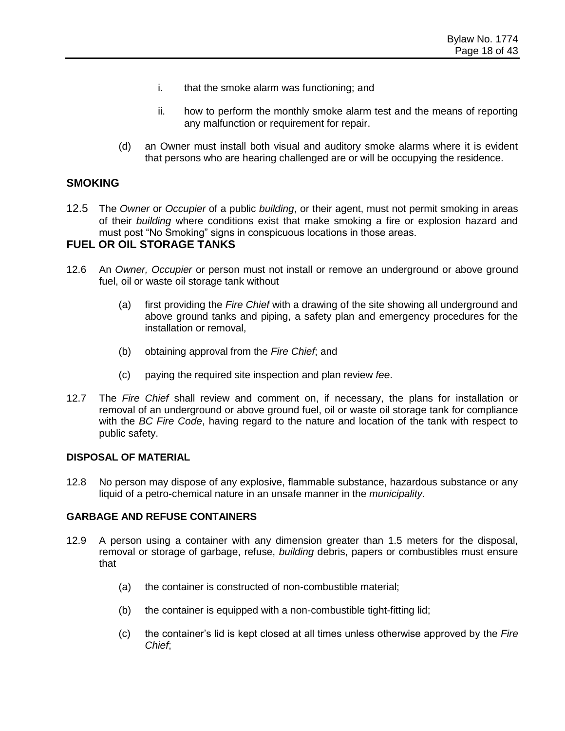- i. that the smoke alarm was functioning; and
- ii. how to perform the monthly smoke alarm test and the means of reporting any malfunction or requirement for repair.
- (d) an Owner must install both visual and auditory smoke alarms where it is evident that persons who are hearing challenged are or will be occupying the residence.

#### **SMOKING**

12.5 The *Owner* or *Occupier* of a public *building*, or their agent, must not permit smoking in areas of their *building* where conditions exist that make smoking a fire or explosion hazard and must post "No Smoking" signs in conspicuous locations in those areas.

#### **FUEL OR OIL STORAGE TANKS**

- 12.6 An *Owner, Occupier* or person must not install or remove an underground or above ground fuel, oil or waste oil storage tank without
	- (a) first providing the *Fire Chief* with a drawing of the site showing all underground and above ground tanks and piping, a safety plan and emergency procedures for the installation or removal,
	- (b) obtaining approval from the *Fire Chief*; and
	- (c) paying the required site inspection and plan review *fee*.
- 12.7 The *Fire Chief* shall review and comment on, if necessary, the plans for installation or removal of an underground or above ground fuel, oil or waste oil storage tank for compliance with the *BC Fire Code*, having regard to the nature and location of the tank with respect to public safety.

#### **DISPOSAL OF MATERIAL**

12.8 No person may dispose of any explosive, flammable substance, hazardous substance or any liquid of a petro-chemical nature in an unsafe manner in the *municipality*.

#### **GARBAGE AND REFUSE CONTAINERS**

- 12.9 A person using a container with any dimension greater than 1.5 meters for the disposal, removal or storage of garbage, refuse, *building* debris, papers or combustibles must ensure that
	- (a) the container is constructed of non-combustible material;
	- (b) the container is equipped with a non-combustible tight-fitting lid;
	- (c) the container's lid is kept closed at all times unless otherwise approved by the *Fire Chief*;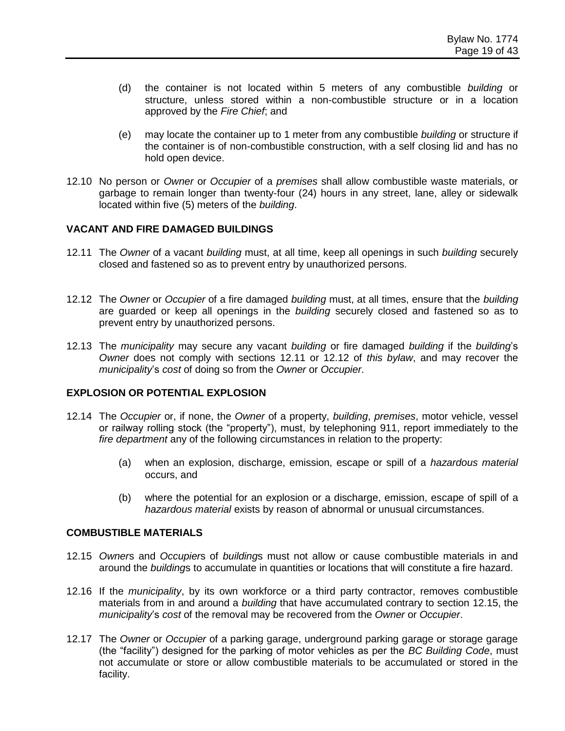- (d) the container is not located within 5 meters of any combustible *building* or structure, unless stored within a non-combustible structure or in a location approved by the *Fire Chief*; and
- (e) may locate the container up to 1 meter from any combustible *building* or structure if the container is of non-combustible construction, with a self closing lid and has no hold open device.
- 12.10 No person or *Owner* or *Occupier* of a *premises* shall allow combustible waste materials, or garbage to remain longer than twenty-four (24) hours in any street, lane, alley or sidewalk located within five (5) meters of the *building*.

#### **VACANT AND FIRE DAMAGED BUILDINGS**

- 12.11 The *Owner* of a vacant *building* must, at all time, keep all openings in such *building* securely closed and fastened so as to prevent entry by unauthorized persons.
- 12.12 The *Owner* or *Occupier* of a fire damaged *building* must, at all times, ensure that the *building* are guarded or keep all openings in the *building* securely closed and fastened so as to prevent entry by unauthorized persons.
- 12.13 The *municipality* may secure any vacant *building* or fire damaged *building* if the *building*'s *Owner* does not comply with sections 12.11 or 12.12 of *this bylaw*, and may recover the *municipality*'s *cost* of doing so from the *Owner* or *Occupier*.

#### **EXPLOSION OR POTENTIAL EXPLOSION**

- 12.14 The *Occupier* or, if none, the *Owner* of a property, *building*, *premises*, motor vehicle, vessel or railway rolling stock (the "property"), must, by telephoning 911, report immediately to the *fire department* any of the following circumstances in relation to the property:
	- (a) when an explosion, discharge, emission, escape or spill of a *hazardous material* occurs, and
	- (b) where the potential for an explosion or a discharge, emission, escape of spill of a *hazardous material* exists by reason of abnormal or unusual circumstances.

#### **COMBUSTIBLE MATERIALS**

- 12.15 *Owner*s and *Occupier*s of *building*s must not allow or cause combustible materials in and around the *building*s to accumulate in quantities or locations that will constitute a fire hazard.
- 12.16 If the *municipality*, by its own workforce or a third party contractor, removes combustible materials from in and around a *building* that have accumulated contrary to section 12.15, the *municipality*'s *cost* of the removal may be recovered from the *Owner* or *Occupier*.
- 12.17 The *Owner* or *Occupier* of a parking garage, underground parking garage or storage garage (the "facility") designed for the parking of motor vehicles as per the *BC Building Code*, must not accumulate or store or allow combustible materials to be accumulated or stored in the facility.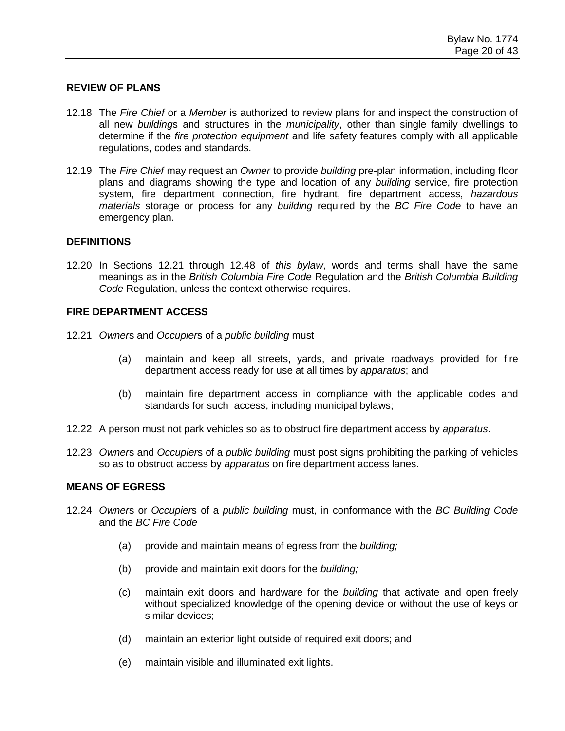#### **REVIEW OF PLANS**

- 12.18 The *Fire Chief* or a *Member* is authorized to review plans for and inspect the construction of all new *building*s and structures in the *municipality*, other than single family dwellings to determine if the *fire protection equipment* and life safety features comply with all applicable regulations, codes and standards.
- 12.19 The *Fire Chief* may request an *Owner* to provide *building* pre-plan information, including floor plans and diagrams showing the type and location of any *building* service, fire protection system, fire department connection, fire hydrant, fire department access, *hazardous materials* storage or process for any *building* required by the *BC Fire Code* to have an emergency plan.

#### **DEFINITIONS**

12.20 In Sections 12.21 through 12.48 of *this bylaw*, words and terms shall have the same meanings as in the *British Columbia Fire Code* Regulation and the *British Columbia Building Code* Regulation, unless the context otherwise requires.

#### **FIRE DEPARTMENT ACCESS**

- 12.21 *Owner*s and *Occupier*s of a *public building* must
	- (a) maintain and keep all streets, yards, and private roadways provided for fire department access ready for use at all times by *apparatus*; and
	- (b) maintain fire department access in compliance with the applicable codes and standards for such access, including municipal bylaws;
- 12.22 A person must not park vehicles so as to obstruct fire department access by *apparatus*.
- 12.23 *Owner*s and *Occupier*s of a *public building* must post signs prohibiting the parking of vehicles so as to obstruct access by *apparatus* on fire department access lanes.

#### **MEANS OF EGRESS**

- 12.24 *Owner*s or *Occupier*s of a *public building* must, in conformance with the *BC Building Code* and the *BC Fire Code*
	- (a) provide and maintain means of egress from the *building;*
	- (b) provide and maintain exit doors for the *building;*
	- (c) maintain exit doors and hardware for the *building* that activate and open freely without specialized knowledge of the opening device or without the use of keys or similar devices;
	- (d) maintain an exterior light outside of required exit doors; and
	- (e) maintain visible and illuminated exit lights.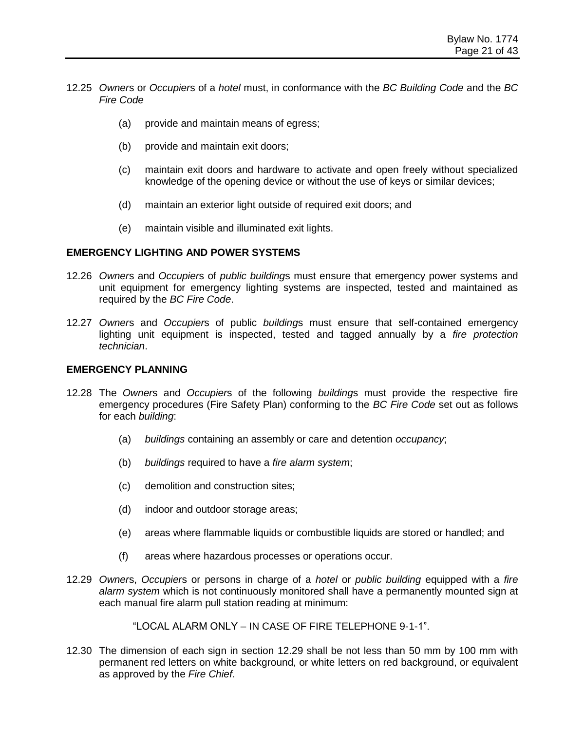- 12.25 *Owner*s or *Occupier*s of a *hotel* must, in conformance with the *BC Building Code* and the *BC Fire Code*
	- (a) provide and maintain means of egress;
	- (b) provide and maintain exit doors;
	- (c) maintain exit doors and hardware to activate and open freely without specialized knowledge of the opening device or without the use of keys or similar devices;
	- (d) maintain an exterior light outside of required exit doors; and
	- (e) maintain visible and illuminated exit lights.

#### **EMERGENCY LIGHTING AND POWER SYSTEMS**

- 12.26 *Owner*s and *Occupier*s of *public building*s must ensure that emergency power systems and unit equipment for emergency lighting systems are inspected, tested and maintained as required by the *BC Fire Code*.
- 12.27 *Owner*s and *Occupier*s of public *building*s must ensure that self-contained emergency lighting unit equipment is inspected, tested and tagged annually by a *fire protection technician*.

#### **EMERGENCY PLANNING**

- 12.28 The *Owner*s and *Occupier*s of the following *building*s must provide the respective fire emergency procedures (Fire Safety Plan) conforming to the *BC Fire Code* set out as follows for each *building*:
	- (a) *buildings* containing an assembly or care and detention *occupancy*;
	- (b) *buildings* required to have a *fire alarm system*;
	- (c) demolition and construction sites;
	- (d) indoor and outdoor storage areas;
	- (e) areas where flammable liquids or combustible liquids are stored or handled; and
	- (f) areas where hazardous processes or operations occur.
- 12.29 *Owner*s, *Occupier*s or persons in charge of a *hotel* or *public building* equipped with a *fire alarm system* which is not continuously monitored shall have a permanently mounted sign at each manual fire alarm pull station reading at minimum:

"LOCAL ALARM ONLY – IN CASE OF FIRE TELEPHONE 9-1-1".

12.30 The dimension of each sign in section 12.29 shall be not less than 50 mm by 100 mm with permanent red letters on white background, or white letters on red background, or equivalent as approved by the *Fire Chief*.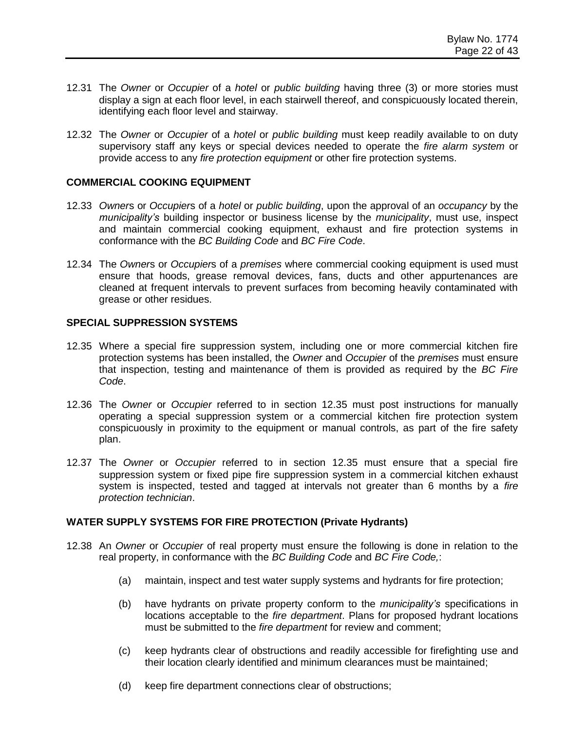- 12.31 The *Owner* or *Occupier* of a *hotel* or *public building* having three (3) or more stories must display a sign at each floor level, in each stairwell thereof, and conspicuously located therein, identifying each floor level and stairway.
- 12.32 The *Owner* or *Occupier* of a *hotel* or *public building* must keep readily available to on duty supervisory staff any keys or special devices needed to operate the *fire alarm system* or provide access to any *fire protection equipment* or other fire protection systems.

#### **COMMERCIAL COOKING EQUIPMENT**

- 12.33 *Owner*s or *Occupier*s of a *hotel* or *public building*, upon the approval of an *occupancy* by the *municipality's* building inspector or business license by the *municipality*, must use, inspect and maintain commercial cooking equipment, exhaust and fire protection systems in conformance with the *BC Building Code* and *BC Fire Code*.
- 12.34 The *Owner*s or *Occupier*s of a *premises* where commercial cooking equipment is used must ensure that hoods, grease removal devices, fans, ducts and other appurtenances are cleaned at frequent intervals to prevent surfaces from becoming heavily contaminated with grease or other residues.

#### **SPECIAL SUPPRESSION SYSTEMS**

- 12.35 Where a special fire suppression system, including one or more commercial kitchen fire protection systems has been installed, the *Owner* and *Occupier* of the *premises* must ensure that inspection, testing and maintenance of them is provided as required by the *BC Fire Code*.
- 12.36 The *Owner* or *Occupier* referred to in section 12.35 must post instructions for manually operating a special suppression system or a commercial kitchen fire protection system conspicuously in proximity to the equipment or manual controls, as part of the fire safety plan.
- 12.37 The *Owner* or *Occupier* referred to in section 12.35 must ensure that a special fire suppression system or fixed pipe fire suppression system in a commercial kitchen exhaust system is inspected, tested and tagged at intervals not greater than 6 months by a *fire protection technician*.

#### **WATER SUPPLY SYSTEMS FOR FIRE PROTECTION (Private Hydrants)**

- 12.38 An *Owner* or *Occupier* of real property must ensure the following is done in relation to the real property, in conformance with the *BC Building Code* and *BC Fire Code,*:
	- (a) maintain, inspect and test water supply systems and hydrants for fire protection;
	- (b) have hydrants on private property conform to the *municipality's* specifications in locations acceptable to the *fire department*. Plans for proposed hydrant locations must be submitted to the *fire department* for review and comment;
	- (c) keep hydrants clear of obstructions and readily accessible for firefighting use and their location clearly identified and minimum clearances must be maintained;
	- (d) keep fire department connections clear of obstructions;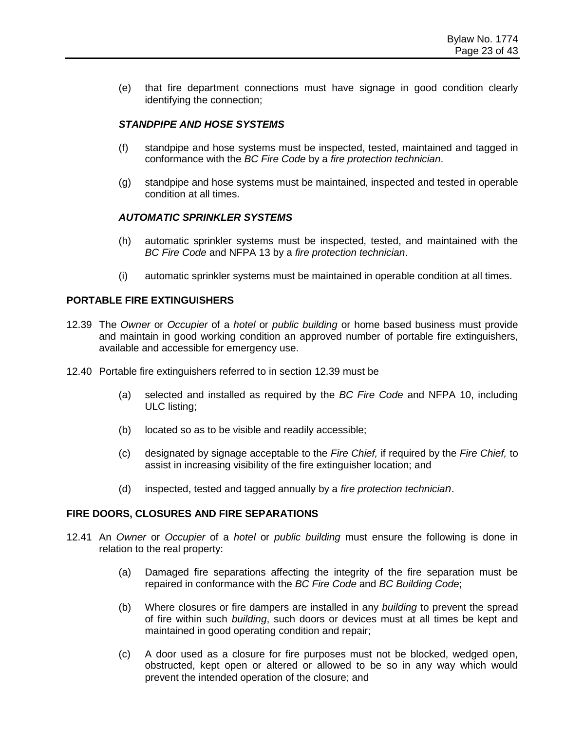(e) that fire department connections must have signage in good condition clearly identifying the connection;

#### *STANDPIPE AND HOSE SYSTEMS*

- (f) standpipe and hose systems must be inspected, tested, maintained and tagged in conformance with the *BC Fire Code* by a *fire protection technician*.
- (g) standpipe and hose systems must be maintained, inspected and tested in operable condition at all times.

#### *AUTOMATIC SPRINKLER SYSTEMS*

- (h) automatic sprinkler systems must be inspected, tested, and maintained with the *BC Fire Code* and NFPA 13 by a *fire protection technician*.
- (i) automatic sprinkler systems must be maintained in operable condition at all times.

#### **PORTABLE FIRE EXTINGUISHERS**

- 12.39 The *Owner* or *Occupier* of a *hotel* or *public building* or home based business must provide and maintain in good working condition an approved number of portable fire extinguishers, available and accessible for emergency use.
- 12.40 Portable fire extinguishers referred to in section 12.39 must be
	- (a) selected and installed as required by the *BC Fire Code* and NFPA 10, including ULC listing;
	- (b) located so as to be visible and readily accessible;
	- (c) designated by signage acceptable to the *Fire Chief,* if required by the *Fire Chief,* to assist in increasing visibility of the fire extinguisher location; and
	- (d) inspected, tested and tagged annually by a *fire protection technician*.

#### **FIRE DOORS, CLOSURES AND FIRE SEPARATIONS**

- 12.41 An *Owner* or *Occupier* of a *hotel* or *public building* must ensure the following is done in relation to the real property:
	- (a) Damaged fire separations affecting the integrity of the fire separation must be repaired in conformance with the *BC Fire Code* and *BC Building Code*;
	- (b) Where closures or fire dampers are installed in any *building* to prevent the spread of fire within such *building*, such doors or devices must at all times be kept and maintained in good operating condition and repair;
	- (c) A door used as a closure for fire purposes must not be blocked, wedged open, obstructed, kept open or altered or allowed to be so in any way which would prevent the intended operation of the closure; and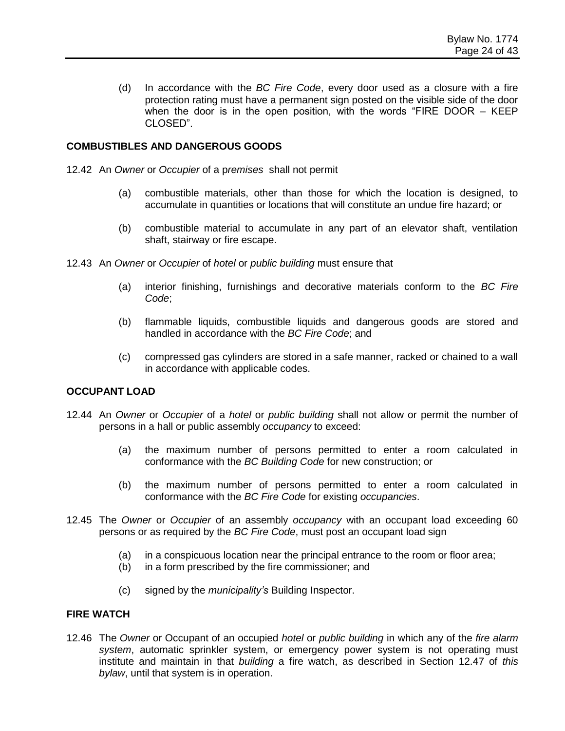(d) In accordance with the *BC Fire Code*, every door used as a closure with a fire protection rating must have a permanent sign posted on the visible side of the door when the door is in the open position, with the words "FIRE DOOR – KEEP CLOSED".

#### **COMBUSTIBLES AND DANGEROUS GOODS**

12.42 An *Owner* or *Occupier* of a p*remises* shall not permit

- (a) combustible materials, other than those for which the location is designed, to accumulate in quantities or locations that will constitute an undue fire hazard; or
- (b) combustible material to accumulate in any part of an elevator shaft, ventilation shaft, stairway or fire escape.
- 12.43 An *Owner* or *Occupier* of *hotel* or *public building* must ensure that
	- (a) interior finishing, furnishings and decorative materials conform to the *BC Fire Code*;
	- (b) flammable liquids, combustible liquids and dangerous goods are stored and handled in accordance with the *BC Fire Code*; and
	- (c) compressed gas cylinders are stored in a safe manner, racked or chained to a wall in accordance with applicable codes.

#### **OCCUPANT LOAD**

- 12.44 An *Owner* or *Occupier* of a *hotel* or *public building* shall not allow or permit the number of persons in a hall or public assembly *occupancy* to exceed:
	- (a) the maximum number of persons permitted to enter a room calculated in conformance with the *BC Building Code* for new construction; or
	- (b) the maximum number of persons permitted to enter a room calculated in conformance with the *BC Fire Code* for existing *occupancies*.
- 12.45 The *Owner* or *Occupier* of an assembly *occupancy* with an occupant load exceeding 60 persons or as required by the *BC Fire Code*, must post an occupant load sign
	- (a) in a conspicuous location near the principal entrance to the room or floor area;
	- (b) in a form prescribed by the fire commissioner; and
	- (c) signed by the *municipality's* Building Inspector.

#### **FIRE WATCH**

12.46 The *Owner* or Occupant of an occupied *hotel* or *public building* in which any of the *fire alarm system*, automatic sprinkler system, or emergency power system is not operating must institute and maintain in that *building* a fire watch, as described in Section 12.47 of *this bylaw*, until that system is in operation.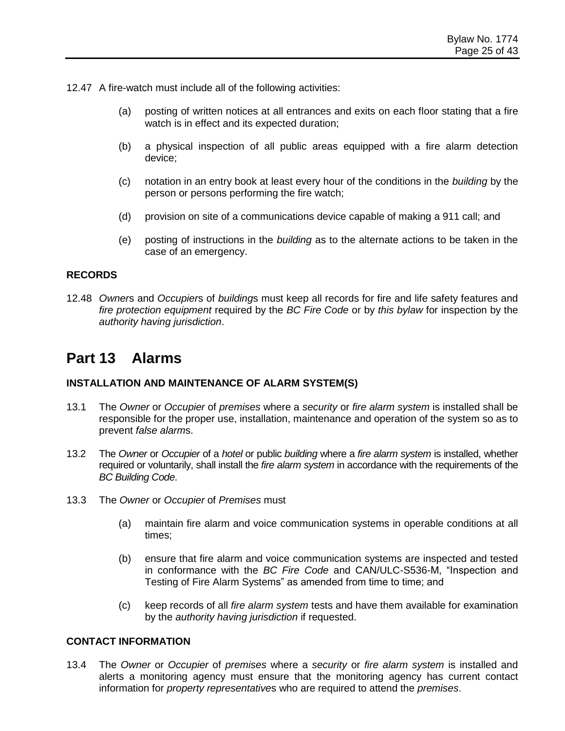12.47 A fire-watch must include all of the following activities:

- (a) posting of written notices at all entrances and exits on each floor stating that a fire watch is in effect and its expected duration;
- (b) a physical inspection of all public areas equipped with a fire alarm detection device;
- (c) notation in an entry book at least every hour of the conditions in the *building* by the person or persons performing the fire watch;
- (d) provision on site of a communications device capable of making a 911 call; and
- (e) posting of instructions in the *building* as to the alternate actions to be taken in the case of an emergency.

#### **RECORDS**

12.48 *Owner*s and *Occupier*s of *building*s must keep all records for fire and life safety features and *fire protection equipment* required by the *BC Fire Code* or by *this bylaw* for inspection by the *authority having jurisdiction*.

### **Part 13 Alarms**

#### **INSTALLATION AND MAINTENANCE OF ALARM SYSTEM(S)**

- 13.1 The *Owner* or *Occupier* of *premises* where a *security* or *fire alarm system* is installed shall be responsible for the proper use, installation, maintenance and operation of the system so as to prevent *false alarm*s.
- 13.2 The *Owner* or *Occupier* of a *hotel* or public *building* where a *fire alarm system* is installed, whether required or voluntarily, shall install the *fire alarm system* in accordance with the requirements of the *BC Building Code*.
- 13.3 The *Owner* or *Occupier* of *Premises* must
	- (a) maintain fire alarm and voice communication systems in operable conditions at all times;
	- (b) ensure that fire alarm and voice communication systems are inspected and tested in conformance with the *BC Fire Code* and CAN/ULC-S536-M, "Inspection and Testing of Fire Alarm Systems" as amended from time to time; and
	- (c) keep records of all *fire alarm system* tests and have them available for examination by the *authority having jurisdiction* if requested.

#### **CONTACT INFORMATION**

13.4 The *Owner* or *Occupier* of *premises* where a *security* or *fire alarm system* is installed and alerts a monitoring agency must ensure that the monitoring agency has current contact information for *property representative*s who are required to attend the *premises*.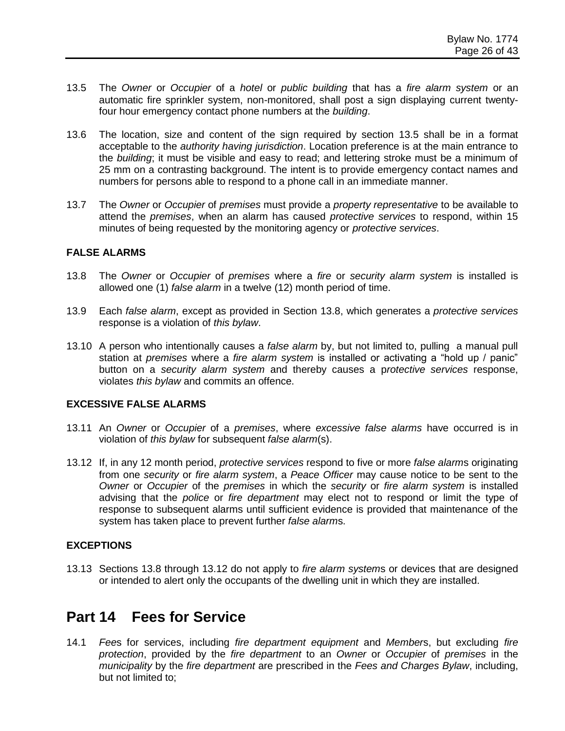- 13.5 The *Owner* or *Occupier* of a *hotel* or *public building* that has a *fire alarm system* or an automatic fire sprinkler system, non-monitored, shall post a sign displaying current twentyfour hour emergency contact phone numbers at the *building*.
- 13.6 The location, size and content of the sign required by section 13.5 shall be in a format acceptable to the *authority having jurisdiction*. Location preference is at the main entrance to the *building*; it must be visible and easy to read; and lettering stroke must be a minimum of 25 mm on a contrasting background. The intent is to provide emergency contact names and numbers for persons able to respond to a phone call in an immediate manner.
- 13.7 The *Owner* or *Occupier* of *premises* must provide a *property representative* to be available to attend the *premises*, when an alarm has caused *protective services* to respond, within 15 minutes of being requested by the monitoring agency or *protective services*.

#### **FALSE ALARMS**

- 13.8 The *Owner* or *Occupier* of *premises* where a *fire* or *security alarm system* is installed is allowed one (1) *false alarm* in a twelve (12) month period of time.
- 13.9 Each *false alarm*, except as provided in Section 13.8, which generates a *protective services* response is a violation of *this bylaw*.
- 13.10 A person who intentionally causes a *false alarm* by, but not limited to, pulling a manual pull station at *premises* where a *fire alarm system* is installed or activating a "hold up / panic" button on a *security alarm system* and thereby causes a p*rotective services* response, violates *this bylaw* and commits an offence.

#### **EXCESSIVE FALSE ALARMS**

- 13.11 An *Owner* or *Occupier* of a *premises*, where *excessive false alarms* have occurred is in violation of *this bylaw* for subsequent *false alarm*(s).
- 13.12 If, in any 12 month period, *protective services* respond to five or more *false alarm*s originating from one *security* or *fire alarm system*, a *Peace Officer* may cause notice to be sent to the *Owner* or *Occupier* of the *premises* in which the *security* or *fire alarm system* is installed advising that the *police* or *fire department* may elect not to respond or limit the type of response to subsequent alarms until sufficient evidence is provided that maintenance of the system has taken place to prevent further *false alarm*s.

#### **EXCEPTIONS**

13.13 Sections 13.8 through 13.12 do not apply to *fire alarm system*s or devices that are designed or intended to alert only the occupants of the dwelling unit in which they are installed.

### **Part 14 Fees for Service**

14.1 *Fee*s for services, including *fire department equipment* and *Member*s, but excluding *fire protection*, provided by the *fire department* to an *Owner* or *Occupier* of *premises* in the *municipality* by the *fire department* are prescribed in the *Fees and Charges Bylaw*, including, but not limited to;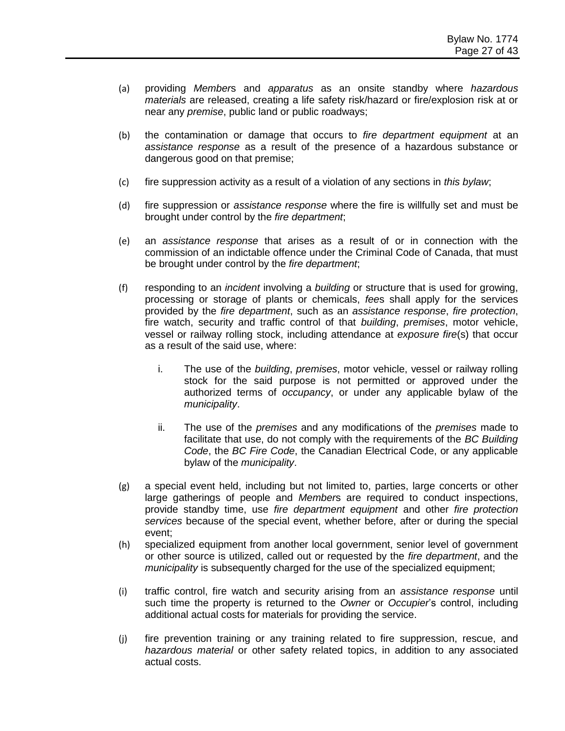- (a) providing *Member*s and *apparatus* as an onsite standby where *hazardous materials* are released, creating a life safety risk/hazard or fire/explosion risk at or near any *premise*, public land or public roadways;
- (b) the contamination or damage that occurs to *fire department equipment* at an *assistance response* as a result of the presence of a hazardous substance or dangerous good on that premise;
- (c) fire suppression activity as a result of a violation of any sections in *this bylaw*;
- (d) fire suppression or *assistance response* where the fire is willfully set and must be brought under control by the *fire department*;
- (e) an *assistance response* that arises as a result of or in connection with the commission of an indictable offence under the Criminal Code of Canada, that must be brought under control by the *fire department*;
- (f) responding to an *incident* involving a *building* or structure that is used for growing, processing or storage of plants or chemicals, *fee*s shall apply for the services provided by the *fire department*, such as an *assistance response*, *fire protection*, fire watch, security and traffic control of that *building*, *premises*, motor vehicle, vessel or railway rolling stock, including attendance at *exposure fire*(s) that occur as a result of the said use, where:
	- i. The use of the *building*, *premises*, motor vehicle, vessel or railway rolling stock for the said purpose is not permitted or approved under the authorized terms of *occupancy*, or under any applicable bylaw of the *municipality*.
	- ii. The use of the *premises* and any modifications of the *premises* made to facilitate that use, do not comply with the requirements of the *BC Building Code*, the *BC Fire Code*, the Canadian Electrical Code, or any applicable bylaw of the *municipality*.
- (g) a special event held, including but not limited to, parties, large concerts or other large gatherings of people and *Member*s are required to conduct inspections, provide standby time, use *fire department equipment* and other *fire protection services* because of the special event, whether before, after or during the special event;
- (h) specialized equipment from another local government, senior level of government or other source is utilized, called out or requested by the *fire department*, and the *municipality* is subsequently charged for the use of the specialized equipment;
- (i) traffic control, fire watch and security arising from an *assistance response* until such time the property is returned to the *Owner* or *Occupier*'s control, including additional actual costs for materials for providing the service.
- (j) fire prevention training or any training related to fire suppression, rescue, and *hazardous material* or other safety related topics, in addition to any associated actual costs.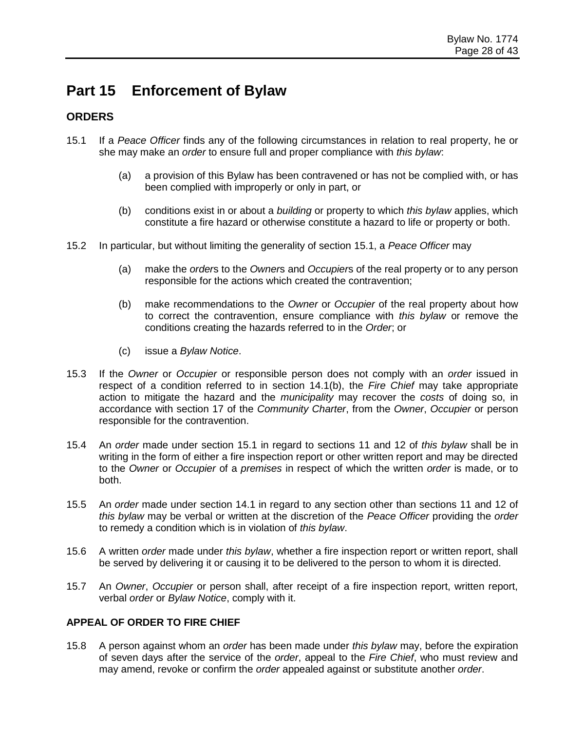# **Part 15 Enforcement of Bylaw**

#### **ORDERS**

- 15.1 If a *Peace Officer* finds any of the following circumstances in relation to real property, he or she may make an *order* to ensure full and proper compliance with *this bylaw*:
	- (a) a provision of this Bylaw has been contravened or has not be complied with, or has been complied with improperly or only in part, or
	- (b) conditions exist in or about a *building* or property to which *this bylaw* applies, which constitute a fire hazard or otherwise constitute a hazard to life or property or both.
- 15.2 In particular, but without limiting the generality of section 15.1, a *Peace Officer* may
	- (a) make the *order*s to the *Owner*s and *Occupier*s of the real property or to any person responsible for the actions which created the contravention;
	- (b) make recommendations to the *Owner* or *Occupier* of the real property about how to correct the contravention, ensure compliance with *this bylaw* or remove the conditions creating the hazards referred to in the *Order*; or
	- (c) issue a *Bylaw Notice*.
- 15.3 If the *Owner* or *Occupier* or responsible person does not comply with an *order* issued in respect of a condition referred to in section 14.1(b), the *Fire Chief* may take appropriate action to mitigate the hazard and the *municipality* may recover the *costs* of doing so, in accordance with section 17 of the *Community Charter*, from the *Owner*, *Occupier* or person responsible for the contravention.
- 15.4 An *order* made under section 15.1 in regard to sections 11 and 12 of *this bylaw* shall be in writing in the form of either a fire inspection report or other written report and may be directed to the *Owner* or *Occupier* of a *premises* in respect of which the written *order* is made, or to both.
- 15.5 An *order* made under section 14.1 in regard to any section other than sections 11 and 12 of *this bylaw* may be verbal or written at the discretion of the *Peace Officer* providing the *order* to remedy a condition which is in violation of *this bylaw*.
- 15.6 A written *order* made under *this bylaw*, whether a fire inspection report or written report, shall be served by delivering it or causing it to be delivered to the person to whom it is directed.
- 15.7 An *Owner*, *Occupier* or person shall, after receipt of a fire inspection report, written report, verbal *order* or *Bylaw Notice*, comply with it.

#### **APPEAL OF ORDER TO FIRE CHIEF**

15.8 A person against whom an *order* has been made under *this bylaw* may, before the expiration of seven days after the service of the *order*, appeal to the *Fire Chief*, who must review and may amend, revoke or confirm the *order* appealed against or substitute another *order*.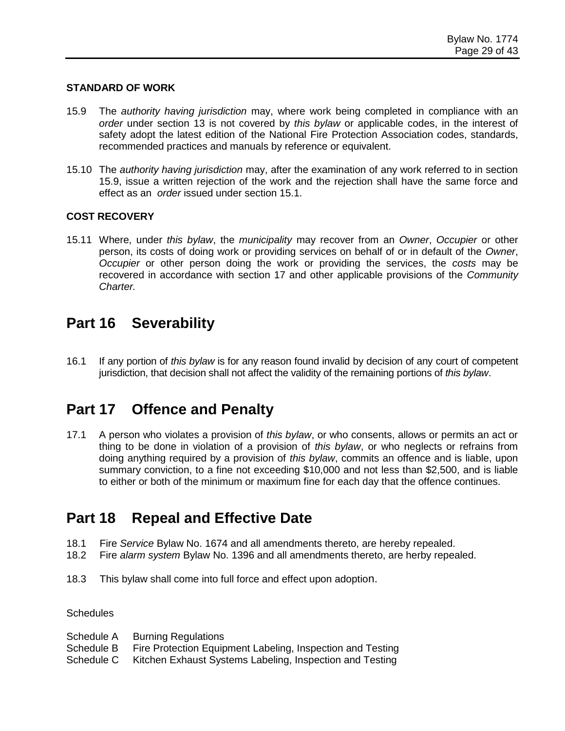#### **STANDARD OF WORK**

- 15.9 The *authority having jurisdiction* may, where work being completed in compliance with an *order* under section 13 is not covered by *this bylaw* or applicable codes, in the interest of safety adopt the latest edition of the National Fire Protection Association codes, standards, recommended practices and manuals by reference or equivalent.
- 15.10 The *authority having jurisdiction* may, after the examination of any work referred to in section 15.9, issue a written rejection of the work and the rejection shall have the same force and effect as an *order* issued under section 15.1.

#### **COST RECOVERY**

15.11 Where, under *this bylaw*, the *municipality* may recover from an *Owner*, *Occupier* or other person, its costs of doing work or providing services on behalf of or in default of the *Owner*, *Occupier* or other person doing the work or providing the services, the *costs* may be recovered in accordance with section 17 and other applicable provisions of the *Community Charter.*

### **Part 16 Severability**

16.1 If any portion of *this bylaw* is for any reason found invalid by decision of any court of competent jurisdiction, that decision shall not affect the validity of the remaining portions of *this bylaw*.

### **Part 17 Offence and Penalty**

17.1 A person who violates a provision of *this bylaw*, or who consents, allows or permits an act or thing to be done in violation of a provision of *this bylaw*, or who neglects or refrains from doing anything required by a provision of *this bylaw*, commits an offence and is liable, upon summary conviction, to a fine not exceeding \$10,000 and not less than \$2,500, and is liable to either or both of the minimum or maximum fine for each day that the offence continues.

### **Part 18 Repeal and Effective Date**

- 18.1 Fire *Service* Bylaw No. 1674 and all amendments thereto, are hereby repealed.
- 18.2 Fire *alarm system* Bylaw No. 1396 and all amendments thereto, are herby repealed.
- 18.3 This bylaw shall come into full force and effect upon adoption.

#### **Schedules**

Schedule A Burning Regulations Schedule B Fire Protection Equipment Labeling, Inspection and Testing Schedule C Kitchen Exhaust Systems Labeling, Inspection and Testing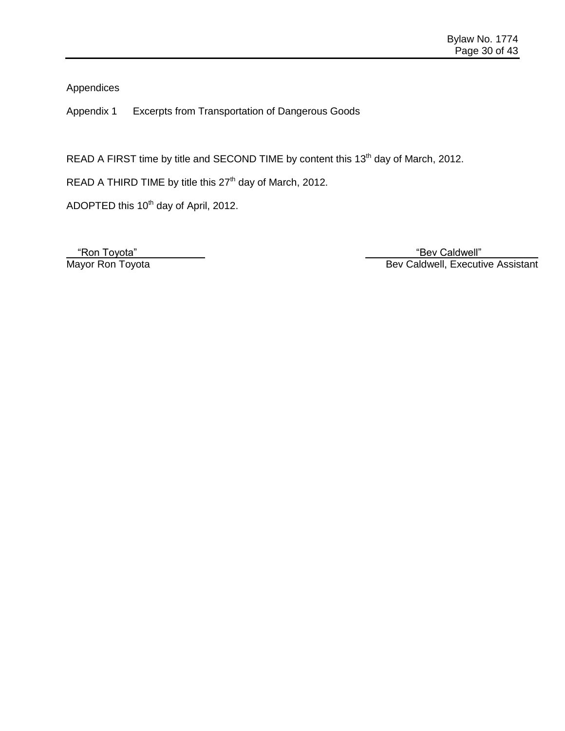Appendices

Appendix 1 Excerpts from Transportation of Dangerous Goods

READ A FIRST time by title and SECOND TIME by content this 13<sup>th</sup> day of March, 2012.

READ A THIRD TIME by title this  $27<sup>th</sup>$  day of March, 2012.

ADOPTED this 10<sup>th</sup> day of April, 2012.

 "Ron Toyota" "Bev Caldwell" Mayor Ron Toyota **Bev Caldwell, Executive Assistant**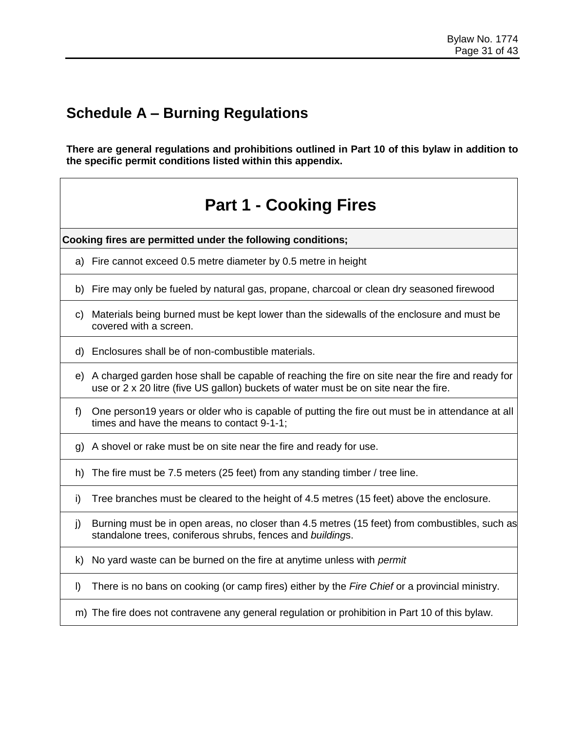**There are general regulations and prohibitions outlined in Part 10 of this bylaw in addition to the specific permit conditions listed within this appendix.**

# **Part 1 - Cooking Fires**

**Cooking fires are permitted under the following conditions;**

- a) Fire cannot exceed 0.5 metre diameter by 0.5 metre in height
- b) Fire may only be fueled by natural gas, propane, charcoal or clean dry seasoned firewood
- c) Materials being burned must be kept lower than the sidewalls of the enclosure and must be covered with a screen.
- d) Enclosures shall be of non-combustible materials.
- e) A charged garden hose shall be capable of reaching the fire on site near the fire and ready for use or 2 x 20 litre (five US gallon) buckets of water must be on site near the fire.
- f) One person19 years or older who is capable of putting the fire out must be in attendance at all times and have the means to contact 9-1-1;
- g) A shovel or rake must be on site near the fire and ready for use.
- h) The fire must be 7.5 meters (25 feet) from any standing timber / tree line.
- i) Tree branches must be cleared to the height of 4.5 metres (15 feet) above the enclosure.
- j) Burning must be in open areas, no closer than 4.5 metres (15 feet) from combustibles, such as standalone trees, coniferous shrubs, fences and *building*s.
- k) No yard waste can be burned on the fire at anytime unless with *permit*
- l) There is no bans on cooking (or camp fires) either by the *Fire Chief* or a provincial ministry.
- m) The fire does not contravene any general regulation or prohibition in Part 10 of this bylaw.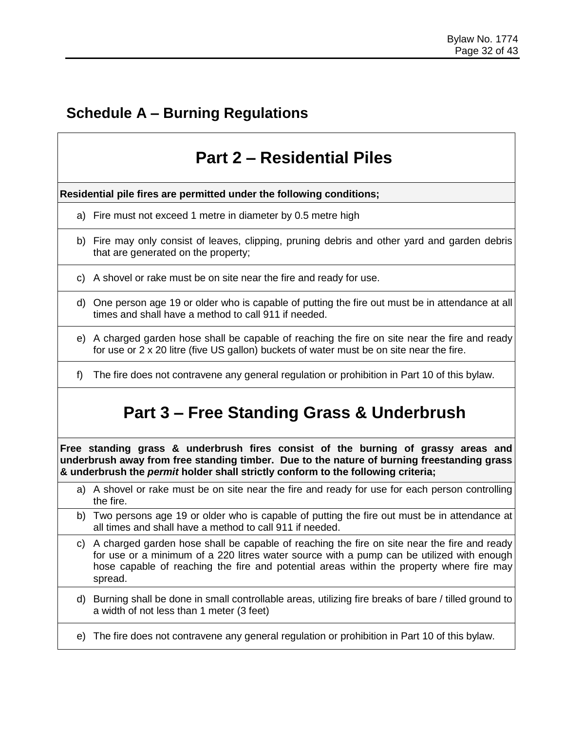# **Part 2 – Residential Piles**

**Residential pile fires are permitted under the following conditions;**

- a) Fire must not exceed 1 metre in diameter by 0.5 metre high
- b) Fire may only consist of leaves, clipping, pruning debris and other yard and garden debris that are generated on the property;
- c) A shovel or rake must be on site near the fire and ready for use.
- d) One person age 19 or older who is capable of putting the fire out must be in attendance at all times and shall have a method to call 911 if needed.
- e) A charged garden hose shall be capable of reaching the fire on site near the fire and ready for use or 2 x 20 litre (five US gallon) buckets of water must be on site near the fire.
- f) The fire does not contravene any general regulation or prohibition in Part 10 of this bylaw.

# **Part 3 – Free Standing Grass & Underbrush**

**Free standing grass & underbrush fires consist of the burning of grassy areas and underbrush away from free standing timber. Due to the nature of burning freestanding grass & underbrush the** *permit* **holder shall strictly conform to the following criteria;** 

- a) A shovel or rake must be on site near the fire and ready for use for each person controlling the fire.
- b) Two persons age 19 or older who is capable of putting the fire out must be in attendance at all times and shall have a method to call 911 if needed.
- c) A charged garden hose shall be capable of reaching the fire on site near the fire and ready for use or a minimum of a 220 litres water source with a pump can be utilized with enough hose capable of reaching the fire and potential areas within the property where fire may spread.
- d) Burning shall be done in small controllable areas, utilizing fire breaks of bare / tilled ground to a width of not less than 1 meter (3 feet)
- e) The fire does not contravene any general regulation or prohibition in Part 10 of this bylaw.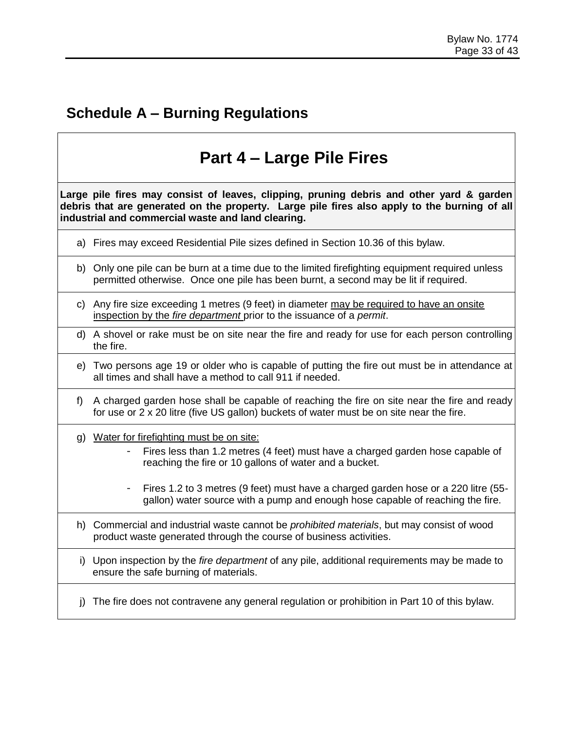# **Part 4 – Large Pile Fires**

**Large pile fires may consist of leaves, clipping, pruning debris and other yard & garden debris that are generated on the property. Large pile fires also apply to the burning of all industrial and commercial waste and land clearing.**

- a) Fires may exceed Residential Pile sizes defined in Section 10.36 of this bylaw.
- b) Only one pile can be burn at a time due to the limited firefighting equipment required unless permitted otherwise. Once one pile has been burnt, a second may be lit if required.
- c) Any fire size exceeding 1 metres (9 feet) in diameter may be required to have an onsite inspection by the *fire department* prior to the issuance of a *permit*.
- d) A shovel or rake must be on site near the fire and ready for use for each person controlling the fire.
- e) Two persons age 19 or older who is capable of putting the fire out must be in attendance at all times and shall have a method to call 911 if needed.
- f) A charged garden hose shall be capable of reaching the fire on site near the fire and ready for use or 2 x 20 litre (five US gallon) buckets of water must be on site near the fire.
- g) Water for firefighting must be on site:
	- Fires less than 1.2 metres (4 feet) must have a charged garden hose capable of reaching the fire or 10 gallons of water and a bucket.
	- Fires 1.2 to 3 metres (9 feet) must have a charged garden hose or a 220 litre (55 gallon) water source with a pump and enough hose capable of reaching the fire.
- h) Commercial and industrial waste cannot be *prohibited materials*, but may consist of wood product waste generated through the course of business activities.
- i) Upon inspection by the *fire department* of any pile, additional requirements may be made to ensure the safe burning of materials.
- j) The fire does not contravene any general regulation or prohibition in Part 10 of this bylaw.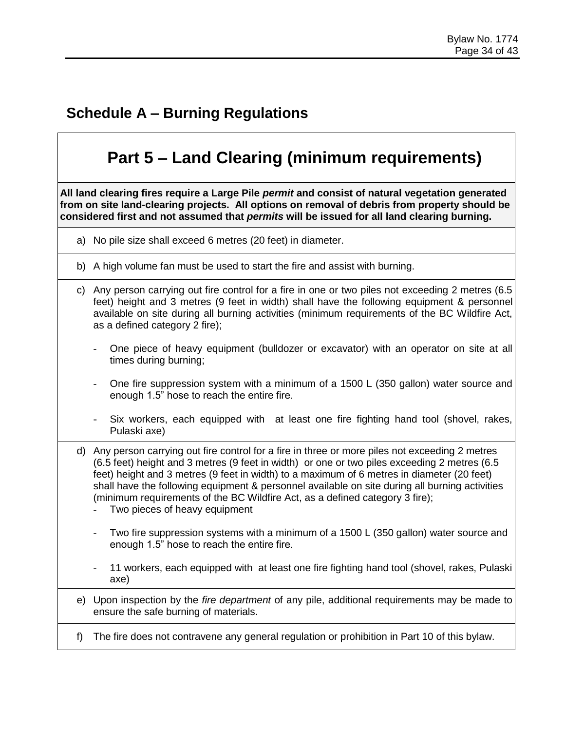# **Part 5 – Land Clearing (minimum requirements)**

**All land clearing fires require a Large Pile** *permit* **and consist of natural vegetation generated from on site land-clearing projects. All options on removal of debris from property should be considered first and not assumed that** *permits* **will be issued for all land clearing burning.**

- a) No pile size shall exceed 6 metres (20 feet) in diameter.
- b) A high volume fan must be used to start the fire and assist with burning.
- c) Any person carrying out fire control for a fire in one or two piles not exceeding 2 metres (6.5 feet) height and 3 metres (9 feet in width) shall have the following equipment & personnel available on site during all burning activities (minimum requirements of the BC Wildfire Act, as a defined category 2 fire);
	- One piece of heavy equipment (bulldozer or excavator) with an operator on site at all times during burning;
	- One fire suppression system with a minimum of a 1500 L (350 gallon) water source and enough 1.5" hose to reach the entire fire.
	- Six workers, each equipped with at least one fire fighting hand tool (shovel, rakes, Pulaski axe)
- d) Any person carrying out fire control for a fire in three or more piles not exceeding 2 metres (6.5 feet) height and 3 metres (9 feet in width) or one or two piles exceeding 2 metres (6.5 feet) height and 3 metres (9 feet in width) to a maximum of 6 metres in diameter (20 feet) shall have the following equipment & personnel available on site during all burning activities (minimum requirements of the BC Wildfire Act, as a defined category 3 fire);
	- Two pieces of heavy equipment
	- Two fire suppression systems with a minimum of a 1500 L (350 gallon) water source and enough 1.5" hose to reach the entire fire.
	- 11 workers, each equipped with at least one fire fighting hand tool (shovel, rakes, Pulaski axe)
- e) Upon inspection by the *fire department* of any pile, additional requirements may be made to ensure the safe burning of materials.
- f) The fire does not contravene any general regulation or prohibition in Part 10 of this bylaw.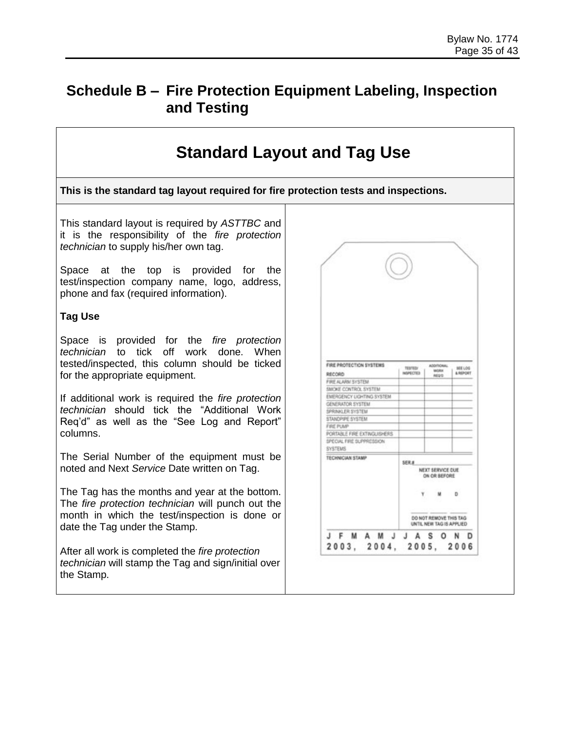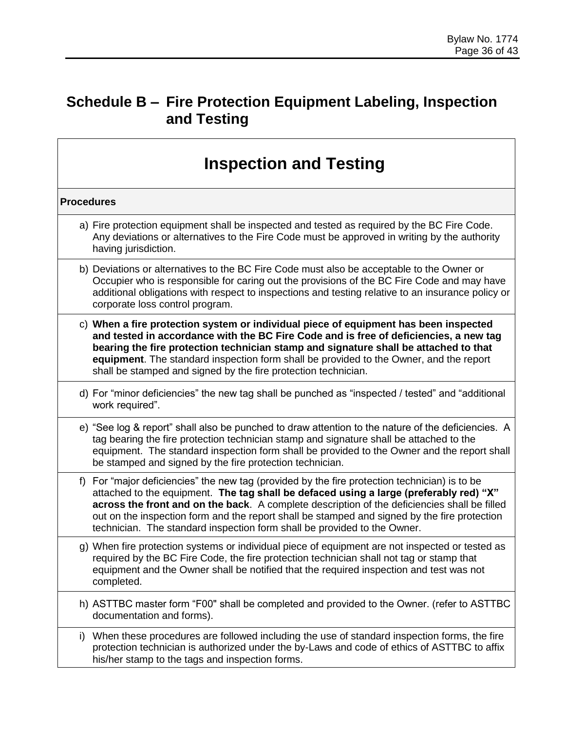|                   | <b>Inspection and Testing</b>                                                                                                                                                                                                                                                                                                                                                                                                                                    |
|-------------------|------------------------------------------------------------------------------------------------------------------------------------------------------------------------------------------------------------------------------------------------------------------------------------------------------------------------------------------------------------------------------------------------------------------------------------------------------------------|
| <b>Procedures</b> |                                                                                                                                                                                                                                                                                                                                                                                                                                                                  |
|                   | a) Fire protection equipment shall be inspected and tested as required by the BC Fire Code.<br>Any deviations or alternatives to the Fire Code must be approved in writing by the authority<br>having jurisdiction.                                                                                                                                                                                                                                              |
|                   | b) Deviations or alternatives to the BC Fire Code must also be acceptable to the Owner or<br>Occupier who is responsible for caring out the provisions of the BC Fire Code and may have<br>additional obligations with respect to inspections and testing relative to an insurance policy or<br>corporate loss control program.                                                                                                                                  |
|                   | c) When a fire protection system or individual piece of equipment has been inspected<br>and tested in accordance with the BC Fire Code and is free of deficiencies, a new tag<br>bearing the fire protection technician stamp and signature shall be attached to that<br>equipment. The standard inspection form shall be provided to the Owner, and the report<br>shall be stamped and signed by the fire protection technician.                                |
|                   | d) For "minor deficiencies" the new tag shall be punched as "inspected / tested" and "additional<br>work required".                                                                                                                                                                                                                                                                                                                                              |
|                   | e) "See log & report" shall also be punched to draw attention to the nature of the deficiencies. A<br>tag bearing the fire protection technician stamp and signature shall be attached to the<br>equipment. The standard inspection form shall be provided to the Owner and the report shall<br>be stamped and signed by the fire protection technician.                                                                                                         |
| f)                | For "major deficiencies" the new tag (provided by the fire protection technician) is to be<br>attached to the equipment. The tag shall be defaced using a large (preferably red) "X"<br>across the front and on the back. A complete description of the deficiencies shall be filled<br>out on the inspection form and the report shall be stamped and signed by the fire protection<br>technician. The standard inspection form shall be provided to the Owner. |
|                   | g) When fire protection systems or individual piece of equipment are not inspected or tested as<br>required by the BC Fire Code, the fire protection technician shall not tag or stamp that<br>equipment and the Owner shall be notified that the required inspection and test was not<br>completed.                                                                                                                                                             |
|                   | h) ASTTBC master form "F00" shall be completed and provided to the Owner. (refer to ASTTBC<br>documentation and forms).                                                                                                                                                                                                                                                                                                                                          |
| i)                | When these procedures are followed including the use of standard inspection forms, the fire<br>protection technician is authorized under the by-Laws and code of ethics of ASTTBC to affix<br>his/her stamp to the tags and inspection forms.                                                                                                                                                                                                                    |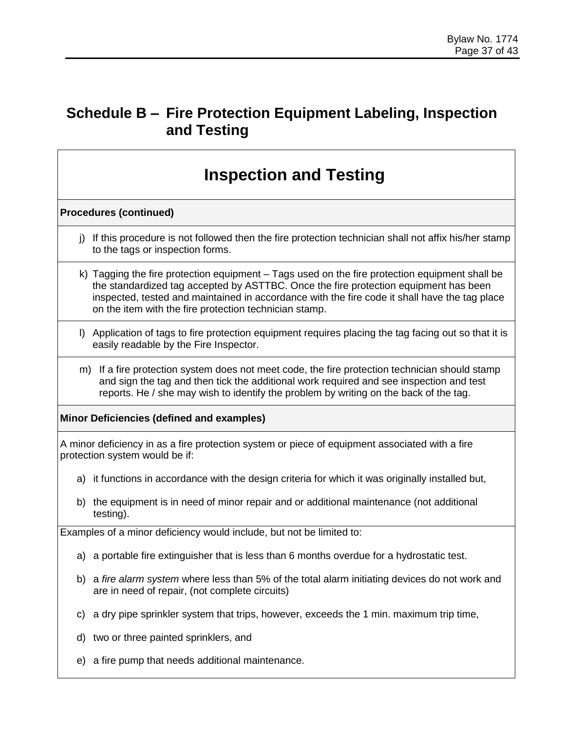# **Inspection and Testing**

#### **Procedures (continued)**

- j) If this procedure is not followed then the fire protection technician shall not affix his/her stamp to the tags or inspection forms.
- k) Tagging the fire protection equipment Tags used on the fire protection equipment shall be the standardized tag accepted by ASTTBC. Once the fire protection equipment has been inspected, tested and maintained in accordance with the fire code it shall have the tag place on the item with the fire protection technician stamp.
- l) Application of tags to fire protection equipment requires placing the tag facing out so that it is easily readable by the Fire Inspector.
- m) If a fire protection system does not meet code, the fire protection technician should stamp and sign the tag and then tick the additional work required and see inspection and test reports. He / she may wish to identify the problem by writing on the back of the tag.

#### **Minor Deficiencies (defined and examples)**

A minor deficiency in as a fire protection system or piece of equipment associated with a fire protection system would be if:

- a) it functions in accordance with the design criteria for which it was originally installed but,
- b) the equipment is in need of minor repair and or additional maintenance (not additional testing).

Examples of a minor deficiency would include, but not be limited to:

- a) a portable fire extinguisher that is less than 6 months overdue for a hydrostatic test.
- b) a *fire alarm system* where less than 5% of the total alarm initiating devices do not work and are in need of repair, (not complete circuits)
- c) a dry pipe sprinkler system that trips, however, exceeds the 1 min. maximum trip time,
- d) two or three painted sprinklers, and
- e) a fire pump that needs additional maintenance.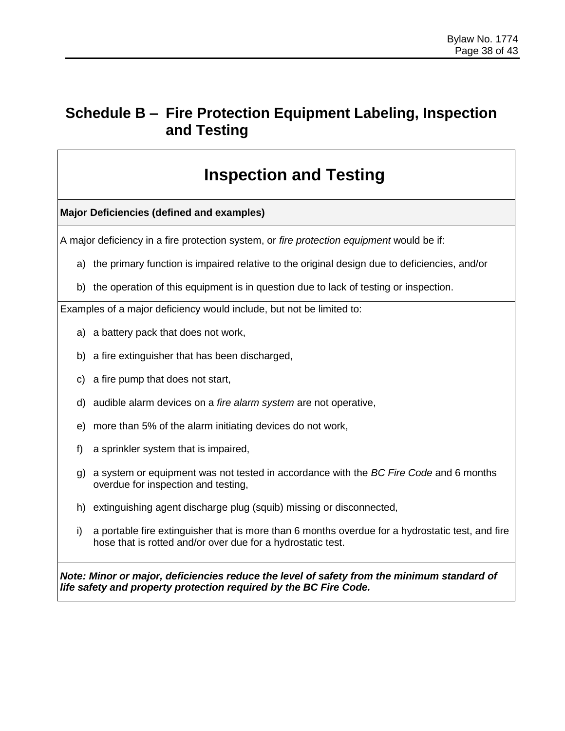# **Inspection and Testing**

**Major Deficiencies (defined and examples)**

A major deficiency in a fire protection system, or *fire protection equipment* would be if:

- a) the primary function is impaired relative to the original design due to deficiencies, and/or
- b) the operation of this equipment is in question due to lack of testing or inspection.

Examples of a major deficiency would include, but not be limited to:

- a) a battery pack that does not work,
- b) a fire extinguisher that has been discharged,
- c) a fire pump that does not start,
- d) audible alarm devices on a *fire alarm system* are not operative,
- e) more than 5% of the alarm initiating devices do not work,
- f) a sprinkler system that is impaired,
- g) a system or equipment was not tested in accordance with the *BC Fire Code* and 6 months overdue for inspection and testing,
- h) extinguishing agent discharge plug (squib) missing or disconnected,
- i) a portable fire extinguisher that is more than 6 months overdue for a hydrostatic test, and fire hose that is rotted and/or over due for a hydrostatic test.

*Note: Minor or major, deficiencies reduce the level of safety from the minimum standard of life safety and property protection required by the BC Fire Code.*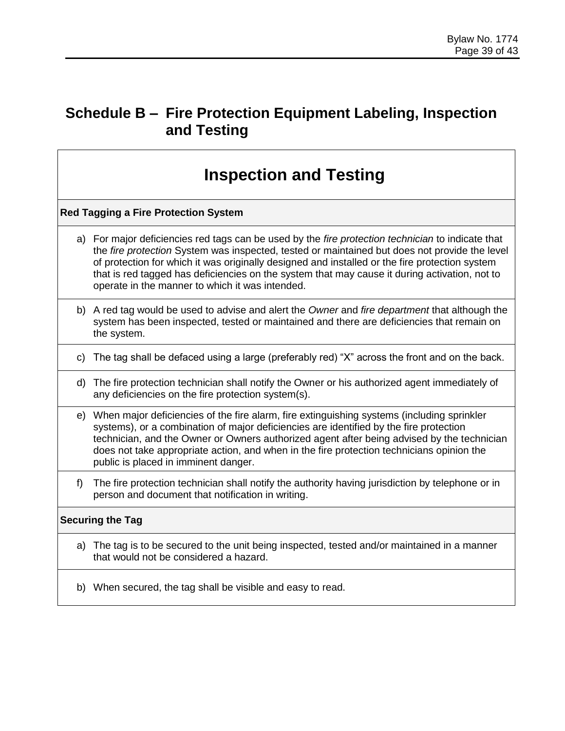# **Inspection and Testing**

#### **Red Tagging a Fire Protection System**

- a) For major deficiencies red tags can be used by the *fire protection technician* to indicate that the *fire protection* System was inspected, tested or maintained but does not provide the level of protection for which it was originally designed and installed or the fire protection system that is red tagged has deficiencies on the system that may cause it during activation, not to operate in the manner to which it was intended.
- b) A red tag would be used to advise and alert the *Owner* and *fire department* that although the system has been inspected, tested or maintained and there are deficiencies that remain on the system.
- c) The tag shall be defaced using a large (preferably red) "X" across the front and on the back.
- d) The fire protection technician shall notify the Owner or his authorized agent immediately of any deficiencies on the fire protection system(s).
- e) When major deficiencies of the fire alarm, fire extinguishing systems (including sprinkler systems), or a combination of major deficiencies are identified by the fire protection technician, and the Owner or Owners authorized agent after being advised by the technician does not take appropriate action, and when in the fire protection technicians opinion the public is placed in imminent danger.
- f) The fire protection technician shall notify the authority having jurisdiction by telephone or in person and document that notification in writing.

#### **Securing the Tag**

- a) The tag is to be secured to the unit being inspected, tested and/or maintained in a manner that would not be considered a hazard.
- b) When secured, the tag shall be visible and easy to read.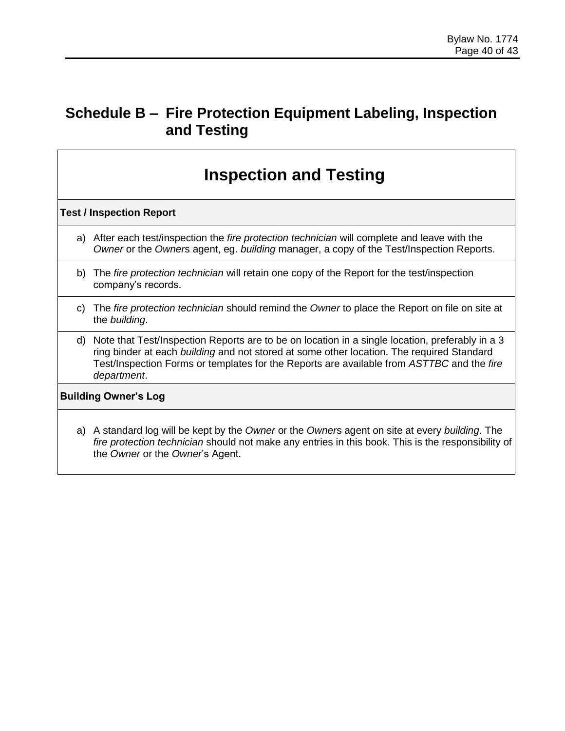# **Inspection and Testing**

#### **Test / Inspection Report**

- a) After each test/inspection the *fire protection technician* will complete and leave with the *Owner* or the *Owner*s agent, eg. *building* manager, a copy of the Test/Inspection Reports.
- b) The *fire protection technician* will retain one copy of the Report for the test/inspection company's records.
- c) The *fire protection technician* should remind the *Owner* to place the Report on file on site at the *building*.
- d) Note that Test/Inspection Reports are to be on location in a single location, preferably in a 3 ring binder at each *building* and not stored at some other location. The required Standard Test/Inspection Forms or templates for the Reports are available from *ASTTBC* and the *fire department*.

#### **Building Owner's Log**

a) A standard log will be kept by the *Owner* or the *Owner*s agent on site at every *building*. The *fire protection technician* should not make any entries in this book. This is the responsibility of the *Owner* or the *Owner*'s Agent.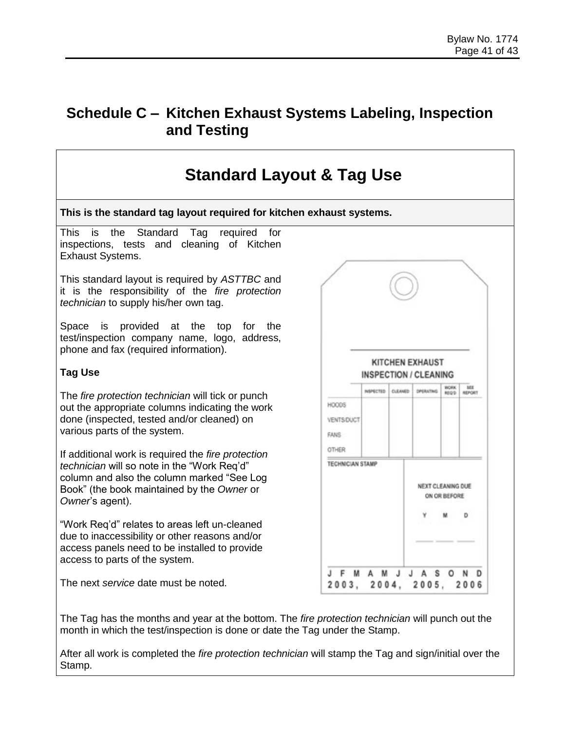## **Schedule C – Kitchen Exhaust Systems Labeling, Inspection and Testing**



The Tag has the months and year at the bottom. The *fire protection technician* will punch out the month in which the test/inspection is done or date the Tag under the Stamp.

After all work is completed the *fire protection technician* will stamp the Tag and sign/initial over the Stamp.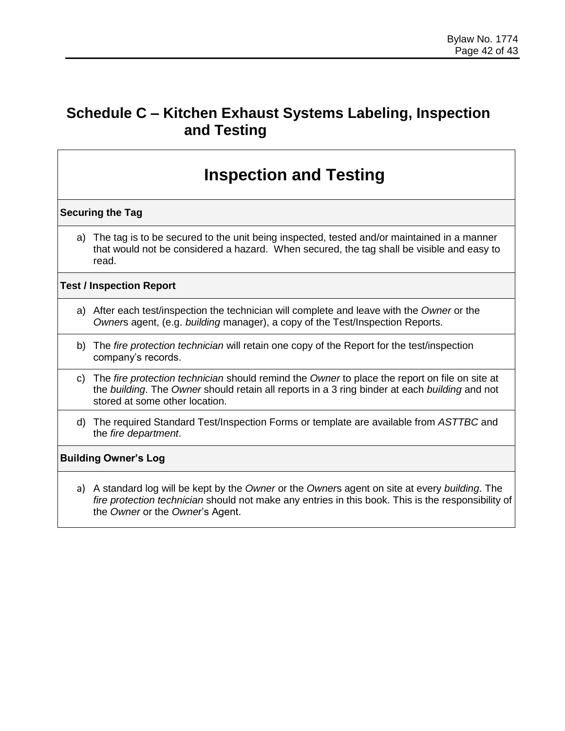# **Schedule C – Kitchen Exhaust Systems Labeling, Inspection and Testing**

# **Inspection and Testing**

#### **Securing the Tag**

a) The tag is to be secured to the unit being inspected, tested and/or maintained in a manner that would not be considered a hazard. When secured, the tag shall be visible and easy to read.

#### **Test / Inspection Report**

- a) After each test/inspection the technician will complete and leave with the *Owner* or the *Owner*s agent, (e.g. *building* manager), a copy of the Test/Inspection Reports.
- b) The *fire protection technician* will retain one copy of the Report for the test/inspection company's records.
- c) The *fire protection technician* should remind the *Owner* to place the report on file on site at the *building*. The *Owner* should retain all reports in a 3 ring binder at each *building* and not stored at some other location.
- d) The required Standard Test/Inspection Forms or template are available from *ASTTBC* and the *fire department*.

#### **Building Owner's Log**

a) A standard log will be kept by the *Owner* or the *Owner*s agent on site at every *building*. The *fire protection technician* should not make any entries in this book. This is the responsibility of the *Owner* or the *Owner*'s Agent.